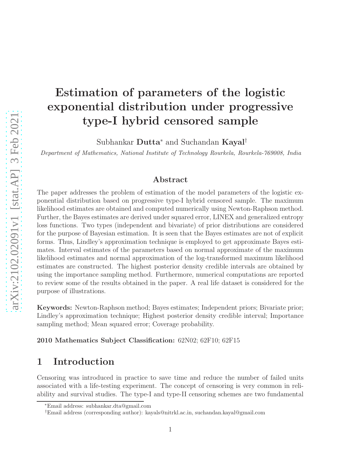# Estimation of parameters of the logistic exponential distribution under progressive type-I hybrid censored sample

Subhankar Dutta<sup>∗</sup> and Suchandan Kayal†

Department of Mathematics, National Institute of Technology Rourkela, Rourkela-769008, India

#### Abstract

The paper addresses the problem of estimation of the model parameters of the logistic exponential distribution based on progressive type-I hybrid censored sample. The maximum likelihood estimates are obtained and computed numerically using Newton-Raphson method. Further, the Bayes estimates are derived under squared error, LINEX and generalized entropy loss functions. Two types (independent and bivariate) of prior distributions are considered for the purpose of Bayesian estimation. It is seen that the Bayes estimates are not of explicit forms. Thus, Lindley's approximation technique is employed to get approximate Bayes estimates. Interval estimates of the parameters based on normal approximate of the maximum likelihood estimates and normal approximation of the log-transformed maximum likelihood estimates are constructed. The highest posterior density credible intervals are obtained by using the importance sampling method. Furthermore, numerical computations are reported to review some of the results obtained in the paper. A real life dataset is considered for the purpose of illustrations.

Keywords: Newton-Raphson method; Bayes estimates; Independent priors; Bivariate prior; Lindley's approximation technique; Highest posterior density credible interval; Importance sampling method; Mean squared error; Coverage probability.

2010 Mathematics Subject Classification: 62N02; 62F10; 62F15

# 1 Introduction

Censoring was introduced in practice to save time and reduce the number of failed units associated with a life-testing experiment. The concept of censoring is very common in reliability and survival studies. The type-I and type-II censoring schemes are two fundamental

<sup>∗</sup>Email address: subhankar.dta@gmail.com

<sup>†</sup>Email address (corresponding author): kayals@nitrkl.ac.in, suchandan.kayal@gmail.com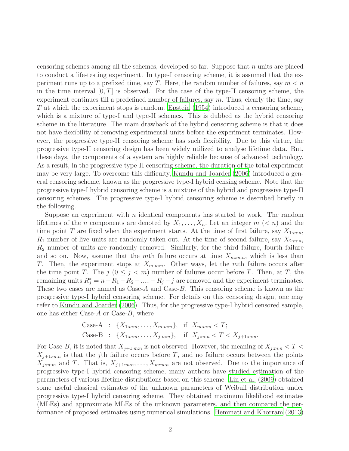censoring schemes among all the schemes, developed so far. Suppose that  $n$  units are placed to conduct a life-testing experiment. In type-I censoring scheme, it is assumed that the experiment runs up to a prefixed time, say T. Here, the random number of failures, say  $m < n$ in the time interval  $[0, T]$  is observed. For the case of the type-II censoring scheme, the experiment continues till a predefined number of failures, say  $m$ . Thus, clearly the time, say T at which the experiment stops is random. Epstein  $(1954)$  introduced a censoring scheme, which is a mixture of type-I and type-II schemes. This is dubbed as the hybrid censoring scheme in the literature. The main drawback of the hybrid censoring scheme is that it does not have flexibility of removing experimental units before the experiment terminates. However, the progressive type-II censoring scheme has such flexibility. Due to this virtue, the progressive type-II censoring design has been widely utilized to analyse lifetime data. But, these days, the components of a system are highly reliable because of advanced technology. As a result, in the progressive type-II censoring scheme, the duration of the total experiment may be very large. To overcome this difficulty, [Kundu and Joarder \(2006\)](#page-33-0) introduced a general censoring scheme, known as the progressive type-I hybrid censing scheme. Note that the progressive type-I hybrid censoring scheme is a mixture of the hybrid and progressive type-II censoring schemes. The progressive type-I hybrid censoring scheme is described briefly in the following.

Suppose an experiment with n identical components has started to work. The random lifetimes of the *n* components are denoted by  $X_1, \ldots, X_n$ . Let an integer  $m \leq n$  and the time point T are fixed when the experiment starts. At the time of first failure, say  $X_{1:m:n}$ ,  $R_1$  number of live units are randomly taken out. At the time of second failure, say  $X_{2:m:n}$ ,  $R_2$  number of units are randomly removed. Similarly, for the third failure, fourth failure and so on. Now, assume that the mth failure occurs at time  $X_{m:m:n}$ , which is less than T. Then, the experiment stops at  $X_{m:m:n}$ . Other ways, let the mth failure occurs after the time point T. The  $j$   $(0 \le j < m)$  number of failures occur before T. Then, at T, the remaining units  $R_j^* = n - R_1 - R_2 - \dots - R_j - j$  are removed and the experiment terminates. These two cases are named as  $\text{Case-}A$  and  $\text{Case-}B$ . This censoring scheme is known as the progressive type-I hybrid censoring scheme. For details on this censoring design, one may refer to [Kundu and Joarder \(2006](#page-33-0)). Thus, for the progressive type-I hybrid censored sample, one has either Case- $A$  or Case- $B$ , where

Case-A : 
$$
\{X_{1:m:n}, \ldots, X_{m:m:n}\}\
$$
, if  $X_{m:m:n} < T$ ;  
Case-B :  $\{X_{1:m:n}, \ldots, X_{j:m:n}\}\$ , if  $X_{j:m:n} < T < X_{j+1:m:n}$ .

For Case-B, it is noted that  $X_{j+1:m:n}$  is not observed. However, the meaning of  $X_{j:m:n} < T <$  $X_{j+1:m:n}$  is that the j<sup>th</sup> failure occurs before T, and no failure occurs between the points  $X_{j:m:m}$  and T. That is,  $X_{j+1:m:n}, \ldots, X_{m:m:n}$  are not observed. Due to the importance of progressive type-I hybrid censoring scheme, many authors have studied estimation of the parameters of various lifetime distributions based on this scheme. [Lin et al. \(2009\)](#page-33-1) obtained some useful classical estimates of the unknown parameters of Weibull distribution under progressive type-I hybrid censoring scheme. They obtained maximum likelihood estimates (MLEs) and approximate MLEs of the unknown parameters, and then compared the performance of proposed estimates using numerical simulations. [Hemmati and Khorram \(2013](#page-33-2))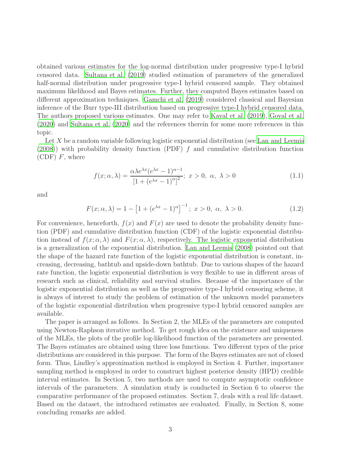obtained various estimates for the log-normal distribution under progressive type-I hybrid censored data. [Sultana et al. \(2019\)](#page-33-3) studied estimation of parameters of the generalized half-normal distribution under progressive type-I hybrid censored sample. They obtained maximum likelihood and Bayes estimates. Further, they computed Bayes estimates based on different approximation techniques. [Gamchi et al. \(2019](#page-32-1)) considered classical and Bayesian inference of the Burr type-III distribution based on progressive type-I hybrid censored data. The authors proposed various estimates. One may refer to [Kayal](#page-33-4) et al. [\(2019\)](#page-33-4), [Goyal et al.](#page-32-2) [\(2020\)](#page-32-2) and [Sultana et al. \(2020\)](#page-33-5) and the references therein for some more references in this topic.

Let  $X$  be a random variable following logistic exponential distribution (see [Lan and Leemis](#page-33-6)  $(2008)$ ) with probability density function (PDF) f and cumulative distribution function  $(CDF)$  F, where

<span id="page-2-1"></span>
$$
f(x; \alpha, \lambda) = \frac{\alpha \lambda e^{\lambda x} (e^{\lambda x} - 1)^{\alpha - 1}}{\left[1 + (e^{\lambda x} - 1)^{\alpha}\right]^2}; \ x > 0, \ \alpha, \ \lambda > 0
$$
 (1.1)

and

<span id="page-2-0"></span>
$$
F(x; \alpha, \lambda) = 1 - [1 + (e^{\lambda x} - 1)^{\alpha}]^{-1}; \ x > 0, \ \alpha, \ \lambda > 0.
$$
 (1.2)

For convenience, henceforth,  $f(x)$  and  $F(x)$  are used to denote the probability density function (PDF) and cumulative distribution function (CDF) of the logistic exponential distribution instead of  $f(x; \alpha, \lambda)$  and  $F(x; \alpha, \lambda)$ , respectively. The logistic exponential distribution is a generalization of the exponential distribution. [Lan and Leemis \(2008\)](#page-33-6) pointed out that the shape of the hazard rate function of the logistic exponential distribution is constant, increasing, decreasing, bathtub and upside-down bathtub. Due to various shapes of the hazard rate function, the logistic exponential distribution is very flexible to use in different areas of research such as clinical, reliability and survival studies. Because of the importance of the logistic exponential distribution as well as the progressive type-I hybrid censoring scheme, it is always of interest to study the problem of estimation of the unknown model parameters of the logistic exponential distribution when progressive type-I hybrid censored samples are available.

The paper is arranged as follows. In Section 2, the MLEs of the parameters are computed using Newton-Raphson iterative method. To get rough idea on the existence and uniqueness of the MLEs, the plots of the profile log-likelihood function of the parameters are presented. The Bayes estimates are obtained using three loss functions. Two different types of the prior distributions are considered in this purpose. The form of the Bayes estimates are not of closed form. Thus, Lindley's approximation method is employed in Section 4. Further, importance sampling method is employed in order to construct highest posterior density (HPD) credible interval estimates. In Section 5, two methods are used to compute asymptotic confidence intervals of the parameters. A simulation study is conducted in Section 6 to observe the comparative performance of the proposed estimates. Section 7, deals with a real life dataset. Based on the dataset, the introduced estimates are evaluated. Finally, in Section 8, some concluding remarks are added.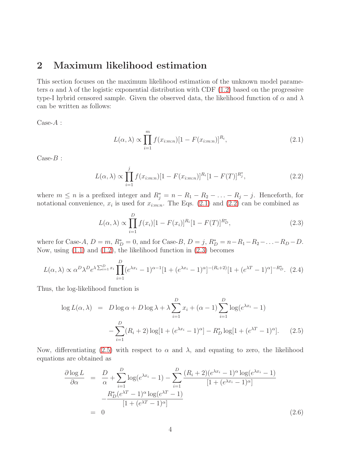### 2 Maximum likelihood estimation

This section focuses on the maximum likelihood estimation of the unknown model parameters  $\alpha$  and  $\lambda$  of the logistic exponential distribution with CDF [\(1.2\)](#page-2-0) based on the progressive type-I hybrid censored sample. Given the observed data, the likelihood function of  $\alpha$  and  $\lambda$ can be written as follows:

 $Case-A$ :

<span id="page-3-1"></span><span id="page-3-0"></span>
$$
L(\alpha, \lambda) \propto \prod_{i=1}^{m} f(x_{i:m:n}) [1 - F(x_{i:m:n})]^{R_i},
$$
\n(2.1)

 $\text{Case-}B$ :

$$
L(\alpha, \lambda) \propto \prod_{i=1}^{j} f(x_{i:m:n}) [1 - F(x_{i:m:n})]^{R_i} [1 - F(T)]^{R_j^*}, \qquad (2.2)
$$

where  $m \leq n$  is a prefixed integer and  $R_j^* = n - R_1 - R_2 - \ldots - R_j - j$ . Henceforth, for notational convenience,  $x_i$  is used for  $x_{i:m:n}$ . The Eqs. [\(2](#page-3-0).1) and (2.[2\)](#page-3-1) can be combined as

<span id="page-3-2"></span>
$$
L(\alpha, \lambda) \propto \prod_{i=1}^{D} f(x_i) [1 - F(x_i)]^{R_i} [1 - F(T)]^{R_D^*}, \qquad (2.3)
$$

where for Case-A,  $D = m$ ,  $R_D^* = 0$ , and for Case-B,  $D = j$ ,  $R_D^* = n - R_1 - R_2 - ... - R_D - D$ . Now, using [\(1.1\)](#page-2-1) and [\(1.2\)](#page-2-0), the likelihood function in [\(2.3\)](#page-3-2) becomes

$$
L(\alpha, \lambda) \propto \alpha^D \lambda^D e^{\lambda \sum_{i=1}^D x_i} \prod_{i=1}^D (e^{\lambda x_i} - 1)^{\alpha - 1} [1 + (e^{\lambda x_i} - 1)^{\alpha}]^{-(R_i + 2)} [1 + (e^{\lambda T} - 1)^{\alpha}]^{-R_D^*}. \tag{2.4}
$$

Thus, the log-likelihood function is

<span id="page-3-3"></span>
$$
\log L(\alpha, \lambda) = D \log \alpha + D \log \lambda + \lambda \sum_{i=1}^{D} x_i + (\alpha - 1) \sum_{i=1}^{D} \log(e^{\lambda x_i} - 1)
$$

$$
- \sum_{i=1}^{D} (R_i + 2) \log[1 + (e^{\lambda x_i} - 1)^\alpha] - R_D^* \log[1 + (e^{\lambda T} - 1)^\alpha]. \tag{2.5}
$$

Now, differentiating [\(2.5\)](#page-3-3) with respect to  $\alpha$  and  $\lambda$ , and equating to zero, the likelihood equations are obtained as

<span id="page-3-4"></span>
$$
\frac{\partial \log L}{\partial \alpha} = \frac{D}{\alpha} + \sum_{i=1}^{D} \log(e^{\lambda x_i} - 1) - \sum_{i=1}^{D} \frac{(R_i + 2)(e^{\lambda x_i} - 1)^{\alpha} \log(e^{\lambda x_i} - 1)}{[1 + (e^{\lambda x_i} - 1)^{\alpha}]}
$$

$$
-\frac{R_D^*(e^{\lambda T} - 1)^{\alpha} \log(e^{\lambda T} - 1)}{[1 + (e^{\lambda T} - 1)^{\alpha}]}
$$

$$
= 0
$$
(2.6)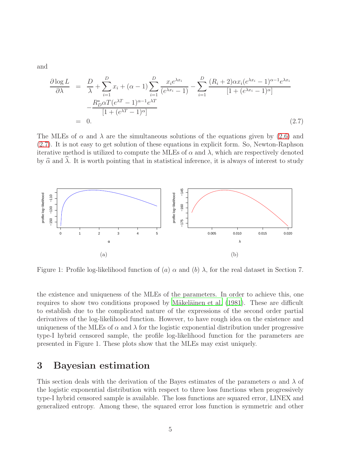and

<span id="page-4-0"></span>
$$
\frac{\partial \log L}{\partial \lambda} = \frac{D}{\lambda} + \sum_{i=1}^{D} x_i + (\alpha - 1) \sum_{i=1}^{D} \frac{x_i e^{\lambda x_i}}{(e^{\lambda x_i} - 1)} - \sum_{i=1}^{D} \frac{(R_i + 2) \alpha x_i (e^{\lambda x_i} - 1)^{\alpha - 1} e^{\lambda x_i}}{[1 + (e^{\lambda x_i} - 1)^\alpha]} - \frac{R_D^* \alpha T (e^{\lambda T} - 1)^{\alpha - 1} e^{\lambda T}}{[1 + (e^{\lambda T} - 1)^\alpha]}
$$
\n
$$
= 0. \tag{2.7}
$$

The MLEs of  $\alpha$  and  $\lambda$  are the simultaneous solutions of the equations given by [\(2.6\)](#page-3-4) and [\(2.7\)](#page-4-0). It is not easy to get solution of these equations in explicit form. So, Newton-Raphson iterative method is utilized to compute the MLEs of  $\alpha$  and  $\lambda$ , which are respectively denoted by  $\hat{\alpha}$  and  $\hat{\lambda}$ . It is worth pointing that in statistical inference, it is always of interest to study



Figure 1: Profile log-likelihood function of (a)  $\alpha$  and (b)  $\lambda$ , for the real dataset in Section 7.

the existence and uniqueness of the MLEs of the parameters. In order to achieve this, one requires to show two conditions proposed by Mäkeläinen et al. (1981). These are difficult to establish due to the complicated nature of the expressions of the second order partial derivatives of the log-likelihood function. However, to have rough idea on the existence and uniqueness of the MLEs of  $\alpha$  and  $\lambda$  for the logistic exponential distribution under progressive type-I hybrid censored sample, the profile log-likelihood function for the parameters are presented in Figure 1. These plots show that the MLEs may exist uniquely.

# 3 Bayesian estimation

This section deals with the derivation of the Bayes estimates of the parameters  $\alpha$  and  $\lambda$  of the logistic exponential distribution with respect to three loss functions when progressively type-I hybrid censored sample is available. The loss functions are squared error, LINEX and generalized entropy. Among these, the squared error loss function is symmetric and other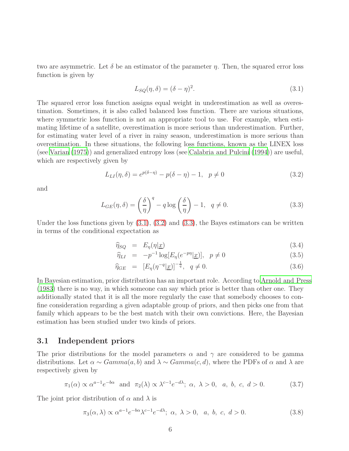two are asymmetric. Let  $\delta$  be an estimator of the parameter  $\eta$ . Then, the squared error loss function is given by

<span id="page-5-0"></span>
$$
L_{SQ}(\eta, \delta) = (\delta - \eta)^2.
$$
\n(3.1)

The squared error loss function assigns equal weight in underestimation as well as overestimation. Sometimes, it is also called balanced loss function. There are various situations, where symmetric loss function is not an appropriate tool to use. For example, when estimating lifetime of a satellite, overestimation is more serious than underestimation. Further, for estimating water level of a river in rainy season, underestimation is more serious than overestimation. In these situations, the following loss functions, known as the LINEX loss (see [Varian \(1975](#page-33-8))) and generalized entropy loss (see [Calabria and](#page-32-3) Pulcini [\(1994](#page-32-3))) are useful, which are respectively given by

<span id="page-5-1"></span>
$$
L_{LI}(\eta, \delta) = e^{p(\delta - \eta)} - p(\delta - \eta) - 1, \ \ p \neq 0
$$
\n(3.2)

and

<span id="page-5-2"></span>
$$
L_{GE}(\eta, \delta) = \left(\frac{\delta}{\eta}\right)^q - q \log\left(\frac{\delta}{\eta}\right) - 1, \quad q \neq 0.
$$
 (3.3)

Under the loss functions given by  $(3.1), (3.2)$  $(3.1), (3.2)$  and  $(3.3),$  the Bayes estimators can be written in terms of the conditional expectation as

<span id="page-5-3"></span>
$$
\widehat{\eta}_{SQ} = E_{\eta}(\eta | \underline{x}) \tag{3.4}
$$

$$
\widehat{\eta}_{LI} = -p^{-1} \log[E_{\eta}(e^{-p\eta}|\underline{x})], \quad p \neq 0 \tag{3.5}
$$

$$
\widehat{\eta}_{GE} = [E_{\eta}(\eta^{-q}|\underline{x})]^{-\frac{1}{q}}, \quad q \neq 0. \tag{3.6}
$$

In Bayesian estimation, prior distribution has an important role. According to [Arnold and Press](#page-32-4) [\(1983\)](#page-32-4) there is no way, in which someone can say which prior is better than other one. They additionally stated that it is all the more regularly the case that somebody chooses to confine consideration regarding a given adaptable group of priors, and then picks one from that family which appears to be the best match with their own convictions. Here, the Bayesian estimation has been studied under two kinds of priors.

#### 3.1 Independent priors

The prior distributions for the model parameters  $\alpha$  and  $\gamma$  are considered to be gamma distributions. Let  $\alpha \sim Gamma(a, b)$  and  $\lambda \sim Gamma(c, d)$ , where the PDFs of  $\alpha$  and  $\lambda$  are respectively given by

<span id="page-5-4"></span>
$$
\pi_1(\alpha) \propto \alpha^{a-1} e^{-b\alpha}
$$
 and  $\pi_2(\lambda) \propto \lambda^{c-1} e^{-d\lambda}$ ;  $\alpha, \lambda > 0$ ,  $a, b, c, d > 0$ . (3.7)

The joint prior distribution of  $\alpha$  and  $\lambda$  is

$$
\pi_3(\alpha,\lambda) \propto \alpha^{a-1} e^{-b\alpha} \lambda^{c-1} e^{-d\lambda}; \ \alpha, \ \lambda > 0, \ \ a, \ b, \ c, \ d > 0.
$$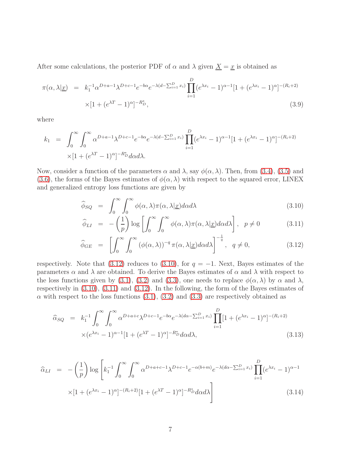After some calculations, the posterior PDF of  $\alpha$  and  $\lambda$  given  $\underline{X} = \underline{x}$  is obtained as

<span id="page-6-1"></span>
$$
\pi(\alpha, \lambda | \underline{x}) = k_1^{-1} \alpha^{D+a-1} \lambda^{D+c-1} e^{-b\alpha} e^{-\lambda(d - \sum_{i=1}^D x_i)} \prod_{i=1}^D (e^{\lambda x_i} - 1)^{\alpha - 1} [1 + (e^{\lambda x_i} - 1)^{\alpha}]^{-(R_i + 2)} \times [1 + (e^{\lambda T} - 1)^{\alpha}]^{-R_D^*},
$$
\n(3.9)

where

$$
k_1 = \int_0^\infty \int_0^\infty \alpha^{D+a-1} \lambda^{D+c-1} e^{-b\alpha} e^{-\lambda(d-\sum_{i=1}^D x_i)} \prod_{i=1}^D (e^{\lambda x_i} - 1)^{\alpha-1} [1 + (e^{\lambda x_i} - 1)^\alpha]^{-(R_i+2)} \times [1 + (e^{\lambda T} - 1)^\alpha]^{-R_D^*} d\alpha d\lambda.
$$

Now, consider a function of the parameters  $\alpha$  and  $\lambda$ , say  $\phi(\alpha, \lambda)$ . Then, from [\(3.4\)](#page-5-3), [\(3.5\)](#page-5-3) and [\(3.6\)](#page-5-3), the forms of the Bayes estimates of  $\phi(\alpha, \lambda)$  with respect to the squared error, LINEX and generalized entropy loss functions are given by

<span id="page-6-0"></span>
$$
\widehat{\phi}_{SQ} = \int_0^\infty \int_0^\infty \phi(\alpha, \lambda) \pi(\alpha, \lambda | \underline{x}) d\alpha d\lambda \tag{3.10}
$$

$$
\widehat{\phi}_{LI} = -\left(\frac{1}{p}\right) \log \left[ \int_0^\infty \int_0^\infty \phi(\alpha, \lambda) \pi(\alpha, \lambda | \underline{x}) d\alpha d\lambda \right], \quad p \neq 0 \tag{3.11}
$$

$$
\widehat{\phi}_{GE} = \left[ \int_0^\infty \int_0^\infty (\phi(\alpha, \lambda))^{-q} \pi(\alpha, \lambda | \underline{x}) d\alpha d\lambda \right]^{-\frac{1}{q}}, \quad q \neq 0,
$$
\n(3.12)

respectively. Note that (3.[12\)](#page-6-0) reduces to (3.[10\)](#page-6-0), for  $q = -1$ . Next, Bayes estimates of the parameters  $\alpha$  and  $\lambda$  are obtained. To derive the Bayes estimates of  $\alpha$  and  $\lambda$  with respect to the loss functions given by [\(3.1\)](#page-5-0), [\(3.2\)](#page-5-1) and [\(3.3\)](#page-5-2), one needs to replace  $\phi(\alpha, \lambda)$  by  $\alpha$  and  $\lambda$ , respectively in [\(3.10\)](#page-6-0), [\(3.11\)](#page-6-0) and [\(3.12\)](#page-6-0). In the following, the form of the Bayes estimates of  $\alpha$  with respect to the loss functions [\(3.1\)](#page-5-0), [\(3.2\)](#page-5-1) and [\(3.3\)](#page-5-2) are respectively obtained as

$$
\widehat{\alpha}_{SQ} = k_1^{-1} \int_0^\infty \int_0^\infty \alpha^{D+a+c} \lambda^{D+c-1} e^{-b\alpha} e^{-\lambda(d\alpha - \sum_{i=1}^D x_i)} \prod_{i=1}^D [1 + (e^{\lambda x_i} - 1)^\alpha]^{-(R_i+2)} \times (e^{\lambda x_i} - 1)^{\alpha - 1} [1 + (e^{\lambda T} - 1)^\alpha]^{-R_D^*} d\alpha d\lambda,
$$
\n(3.13)

$$
\widehat{\alpha}_{LI} = -\left(\frac{1}{p}\right) \log \left[ k_1^{-1} \int_0^{\infty} \int_0^{\infty} \alpha^{D+a+c-1} \lambda^{D+c-1} e^{-\alpha(b+m)} e^{-\lambda(d\alpha - \sum_{i=1}^D x_i)} \prod_{i=1}^D (e^{\lambda x_i} - 1)^{\alpha - 1} \times \left[ 1 + (e^{\lambda x_i} - 1)^{\alpha} \right]^{-(R_i + 2)} \left[ 1 + (e^{\lambda T} - 1)^{\alpha} \right]^{-R_D^*} d\alpha d\lambda \right]
$$
\n(3.14)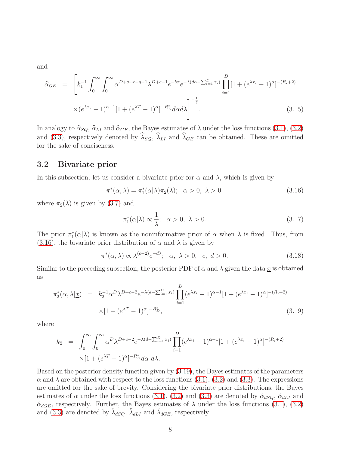and

$$
\widehat{\alpha}_{GE} = \left[ k_1^{-1} \int_0^\infty \int_0^\infty \alpha^{D+a+c-q-1} \lambda^{D+c-1} e^{-b\alpha} e^{-\lambda(d\alpha - \sum_{i=1}^D x_i)} \prod_{i=1}^D [1 + (e^{\lambda x_i} - 1)^\alpha]^{-(R_i+2)} \times (e^{\lambda x_i} - 1)^{\alpha - 1} [1 + (e^{\lambda T} - 1)^\alpha]^{-R_D^*} d\alpha d\lambda \right]^{-\frac{1}{q}}.
$$
\n(3.15)

In analogy to  $\hat{\alpha}_{SQ}$ ,  $\hat{\alpha}_{LI}$  and  $\hat{\alpha}_{GE}$ , the Bayes estimates of  $\lambda$  under the loss functions [\(3.1\)](#page-5-0), [\(3.2\)](#page-5-1) and [\(3.3\)](#page-5-2), respectively denoted by  $\widehat{\lambda}_{SQ}$ ,  $\widehat{\lambda}_{LI}$  and  $\widehat{\lambda}_{GE}$  can be obtained. These are omitted for the sake of conciseness.

#### 3.2 Bivariate prior

In this subsection, let us consider a bivariate prior for  $\alpha$  and  $\lambda$ , which is given by

<span id="page-7-0"></span>
$$
\pi^*(\alpha,\lambda) = \pi_1^*(\alpha|\lambda)\pi_2(\lambda); \quad \alpha > 0, \quad \lambda > 0.
$$
\n(3.16)

where  $\pi_2(\lambda)$  is given by [\(3.7\)](#page-5-4) and

$$
\pi_1^*(\alpha|\lambda) \propto \frac{1}{\lambda}; \quad \alpha > 0, \quad \lambda > 0. \tag{3.17}
$$

The prior  $\pi_1^*(\alpha|\lambda)$  is known as the noninformative prior of  $\alpha$  when  $\lambda$  is fixed. Thus, from [\(3.16\)](#page-7-0), the bivariate prior distribution of  $\alpha$  and  $\lambda$  is given by

$$
\pi^*(\alpha,\lambda) \propto \lambda^{(c-2)} e^{-d\lambda}; \quad \alpha, \lambda > 0, \quad c, \ d > 0. \tag{3.18}
$$

Similar to the preceding subsection, the posterior PDF of  $\alpha$  and  $\lambda$  given the data  $\underline{x}$  is obtained as

<span id="page-7-1"></span>
$$
\pi_2^*(\alpha, \lambda | \underline{x}) = k_2^{-1} \alpha^D \lambda^{D+c-2} e^{-\lambda(d - \sum_{i=1}^D x_i)} \prod_{i=1}^D (e^{\lambda x_i} - 1)^{\alpha - 1} [1 + (e^{\lambda x_i} - 1)^{\alpha}]^{-(R_i + 2)} \times [1 + (e^{\lambda T} - 1)^{\alpha}]^{-R_D^*},
$$
\n(3.19)

where

$$
k_2 = \int_0^\infty \int_0^\infty \alpha^D \lambda^{D+c-2} e^{-\lambda(d-\sum_{i=1}^D x_i)} \prod_{i=1}^D (e^{\lambda x_i} - 1)^{\alpha-1} [1 + (e^{\lambda x_i} - 1)^{\alpha}]^{-(R_i+2)} \times [1 + (e^{\lambda T} - 1)^{\alpha}]^{-R_D^*} d\alpha \, d\lambda.
$$

Based on the posterior density function given by [\(3.19\)](#page-7-1), the Bayes estimates of the parameters  $\alpha$  and  $\lambda$  are obtained with respect to the loss functions [\(3.1\)](#page-5-0), [\(3.2\)](#page-5-1) and [\(3.3\)](#page-5-2). The expressions are omitted for the sake of brevity. Considering the bivariate prior distributions, the Bayes estimates of  $\alpha$  under the loss functions [\(3.1\)](#page-5-0), [\(3.2\)](#page-5-1) and [\(3.3\)](#page-5-2) are denoted by  $\hat{\alpha}_{dSQ}$ ,  $\hat{\alpha}_{dLI}$  and  $\hat{\alpha}_{dGE}$ , respectively. Further, the Bayes estimates of  $\lambda$  under the loss functions [\(3.1\)](#page-5-0), [\(3.2\)](#page-5-1) and [\(3.3\)](#page-5-2) are denoted by  $\hat{\lambda}_{dSQ}$ ,  $\hat{\lambda}_{dLI}$  and  $\hat{\lambda}_{dGE}$ , respectively.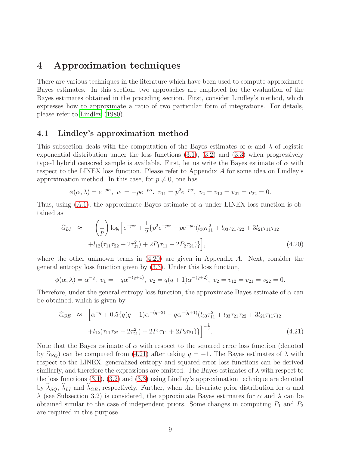### 4 Approximation techniques

There are various techniques in the literature which have been used to compute approximate Bayes estimates. In this section, two approaches are employed for the evaluation of the Bayes estimates obtained in the preceding section. First, consider Lindley's method, which expresses how to approximate a ratio of two particular form of integrations. For details, please refer to [Lindley \(1980\)](#page-33-9).

#### 4.1 Lindley's approximation method

This subsection deals with the computation of the Bayes estimates of  $\alpha$  and  $\lambda$  of logistic exponential distribution under the loss functions  $(3.1)$ ,  $(3.2)$  and  $(3.3)$  when progressively type-I hybrid censored sample is available. First, let us write the Bayes estimate of  $\alpha$  with respect to the LINEX loss function. Please refer to Appendix A for some idea on Lindley's approximation method. In this case, for  $p \neq 0$ , one has

$$
\phi(\alpha, \lambda) = e^{-p\alpha}, v_1 = -pe^{-p\alpha}, v_{11} = p^2 e^{-p\alpha}, v_2 = v_{12} = v_{21} = v_{22} = 0.
$$

Thus, using  $(A.1)$  $(A.1)$  $(A.1)$ , the approximate Bayes estimate of  $\alpha$  under LINEX loss function is obtained as

<span id="page-8-0"></span>
$$
\widehat{\alpha}_{LI} \approx -\left(\frac{1}{p}\right) \log \left[e^{-p\alpha} + \frac{1}{2} \{p^2 e^{-p\alpha} - p e^{-p\alpha} (l_{30} \tau_{11}^2 + l_{03} \tau_{21} \tau_{22} + 3 l_{21} \tau_{11} \tau_{12} + l_{12} (\tau_{11} \tau_{22} + 2 \tau_{21}^2) + 2 P_1 \tau_{11} + 2 P_2 \tau_{21})\}\right],
$$
\n(4.20)

where the other unknown terms in  $(4.20)$  are given in Appendix A. Next, consider the general entropy loss function given by [\(3.3\)](#page-5-2). Under this loss function,

$$
\phi(\alpha, \lambda) = \alpha^{-q}, v_1 = -q\alpha^{-(q+1)}, v_2 = q(q+1)\alpha^{-(q+2)}, v_2 = v_{12} = v_{21} = v_{22} = 0.
$$

Therefore, under the general entropy loss function, the approximate Bayes estimate of  $\alpha$  can be obtained, which is given by

<span id="page-8-1"></span>
$$
\hat{\alpha}_{GE} \approx \left[ \alpha^{-q} + 0.5 \{ q(q+1)\alpha^{-(q+2)} - q\alpha^{-(q+1)}(l_{30}\tau_{11}^2 + l_{03}\tau_{21}\tau_{22} + 3l_{21}\tau_{11}\tau_{12} + l_{12}(\tau_{11}\tau_{22} + 2\tau_{21}^2) + 2P_1\tau_{11} + 2P_2\tau_{21}) \} \right]^{-\frac{1}{q}}.
$$
\n(4.21)

Note that the Bayes estimate of  $\alpha$  with respect to the squared error loss function (denoted by  $\hat{\alpha}_{SQ}$  can be computed from [\(4.21\)](#page-8-1) after taking  $q = -1$ . The Bayes estimates of  $\lambda$  with respect to the LINEX, generalized entropy and squared error loss functions can be derived similarly, and therefore the expressions are omitted. The Bayes estimates of  $\lambda$  with respect to the loss functions [\(3.1\)](#page-5-0), [\(3.2\)](#page-5-1) and [\(3.3\)](#page-5-2) using Lindley's approximation technique are denoted by  $\hat{\lambda}_{SQ}$ ,  $\hat{\lambda}_{LI}$  and  $\hat{\lambda}_{GE}$ , respectively. Further, when the bivariate prior distribution for  $\alpha$  and  $\lambda$  (see Subsection 3.2) is considered, the approximate Bayes estimates for  $\alpha$  and  $\lambda$  can be obtained similar to the case of independent priors. Some changes in computing  $P_1$  and  $P_2$ are required in this purpose.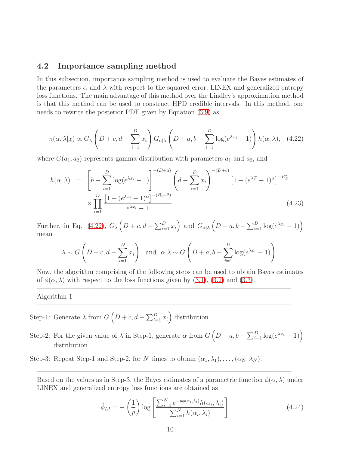#### 4.2 Importance sampling method

In this subsection, importance sampling method is used to evaluate the Bayes estimates of the parameters  $\alpha$  and  $\lambda$  with respect to the squared error, LINEX and generalized entropy loss functions. The main advantage of this method over the Lindley's approximation method is that this method can be used to construct HPD credible intervals. In this method, one needs to rewrite the posterior PDF given by Equation [\(3.9\)](#page-6-1) as

<span id="page-9-0"></span>
$$
\pi(\alpha, \lambda | \underline{x}) \propto G_{\lambda} \left( D + c, d - \sum_{i=1}^{D} x_i \right) G_{\alpha | \lambda} \left( D + a, b - \sum_{i=1}^{D} \log(e^{\lambda x_i} - 1) \right) h(\alpha, \lambda), \quad (4.22)
$$

where  $G(a_1, a_2)$  represents gamma distribution with parameters  $a_1$  and  $a_2$ , and

$$
h(\alpha, \lambda) = \left[ b - \sum_{i=1}^{D} \log(e^{\lambda x_i} - 1) \right]^{-(D+a)} \left( d - \sum_{i=1}^{D} x_i \right)^{-(D+c)} \left[ 1 + (e^{\lambda T} - 1)^{\alpha} \right]^{-R_D^*} \times \prod_{i=1}^{D} \frac{\left[ 1 + (e^{\lambda x_i} - 1)^{\alpha} \right]^{-(R_i + 2)}}{e^{\lambda x_i} - 1}.
$$
\n(4.23)

Further, in Eq. [\(4.22\)](#page-9-0),  $G_{\lambda} \left( D + c, d - \sum_{i=1}^{D} x_i \right)$  and  $G_{\alpha|\lambda} \left( D + a, b - \sum_{i=1}^{D} \log(e^{\lambda x_i} - 1) \right)$ mean

$$
\lambda \sim G\left(D+c, d-\sum_{i=1}^{D}x_i\right)
$$
 and  $\alpha|\lambda \sim G\left(D+a, b-\sum_{i=1}^{D}\log(e^{\lambda x_i}-1)\right)$ .

Now, the algorithm comprising of the following steps can be used to obtain Bayes estimates of  $\phi(\alpha, \lambda)$  with respect to the loss functions given by [\(3.1\)](#page-5-0), [\(3.2\)](#page-5-1) and [\(3.3\)](#page-5-2).

 $\mathcal{L}=\{1,2,3,4\}$  , we can consider the constraint of  $\mathcal{L}=\{1,2,3,4\}$ 

 $\mathcal{L}=\{1,2,3,4\}$  , we can consider the constraint of  $\mathcal{L}=\{1,2,3,4\}$ 

Algorithm-1

- Step-1: Generate  $\lambda$  from  $G\left(D+c,d-\sum_{i=1}^D x_i\right)$  distribution.
- Step-2: For the given value of  $\lambda$  in Step-1, generate  $\alpha$  from  $G\left(D+a, b-\sum_{i=1}^D \log(e^{\lambda x_i}-1)\right)$ distribution.
- Step-3: Repeat Step-1 and Step-2, for N times to obtain  $(\alpha_1, \lambda_1), \ldots, (\alpha_N, \lambda_N)$ .

Based on the values as in Step-3, the Bayes estimates of a parametric function  $\phi(\alpha, \lambda)$  under LINEX and generalized entropy loss functions are obtained as

 $\frac{1}{2}$  , and the contribution of the contribution of  $\frac{1}{2}$  ,  $\frac{1}{2}$  ,  $\frac{1}{2}$  ,  $\frac{1}{2}$  ,  $\frac{1}{2}$  ,  $\frac{1}{2}$  ,  $\frac{1}{2}$  ,  $\frac{1}{2}$  ,  $\frac{1}{2}$  ,  $\frac{1}{2}$  ,  $\frac{1}{2}$  ,  $\frac{1}{2}$  ,  $\frac{1}{2}$  ,  $\frac{1}{2}$ 

<span id="page-9-1"></span>
$$
\tilde{\phi}_{LI} = -\left(\frac{1}{p}\right) \log \left[\frac{\sum_{i=1}^{N} e^{-p\phi(\alpha_i, \lambda_i)} h(\alpha_i, \lambda_i)}{\sum_{i=1}^{N} h(\alpha_i, \lambda_i)}\right]
$$
\n(4.24)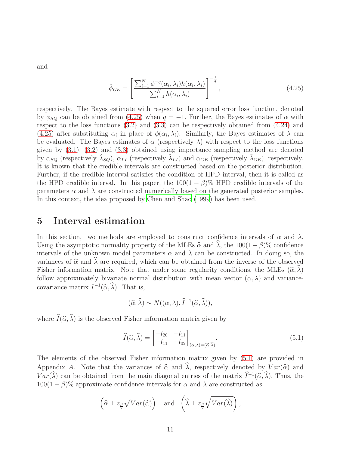and

<span id="page-10-0"></span>
$$
\tilde{\phi}_{GE} = \left[ \frac{\sum_{i=1}^{N} \phi^{-q}(\alpha_i, \lambda_i) h(\alpha_i, \lambda_i)}{\sum_{i=1}^{N} h(\alpha_i, \lambda_i)} \right]^{-\frac{1}{q}},
$$
\n(4.25)

respectively. The Bayes estimate with respect to the squared error loss function, denoted by  $\phi_{SQ}$  can be obtained from [\(4.25\)](#page-10-0) when  $q = -1$ . Further, the Bayes estimates of  $\alpha$  with respect to the loss functions [\(3.2\)](#page-5-1) and [\(3.3\)](#page-5-2) can be respectively obtained from [\(4.24\)](#page-9-1) and [\(4.25\)](#page-10-0) after substituting  $\alpha_i$  in place of  $\phi(\alpha_i, \lambda_i)$ . Similarly, the Bayes estimates of  $\lambda$  can be evaluated. The Bayes estimates of  $\alpha$  (respectively  $\lambda$ ) with respect to the loss functions given by [\(3.1\)](#page-5-0), [\(3.2\)](#page-5-1) and [\(3.3\)](#page-5-2) obtained using importance sampling method are denoted by  $\tilde{\alpha}_{SQ}$  (respectively  $\tilde{\lambda}_{SQ}$ ),  $\tilde{\alpha}_{LI}$  (respectively  $\tilde{\lambda}_{LI}$ ) and  $\tilde{\alpha}_{GE}$  (respectively  $\tilde{\lambda}_{GE}$ ), respectively. It is known that the credible intervals are constructed based on the posterior distribution. Further, if the credible interval satisfies the condition of HPD interval, then it is called as the HPD credible interval. In this paper, the  $100(1 - \beta)$ % HPD credible intervals of the parameters  $\alpha$  and  $\lambda$  are constructed numerically based on the generated posterior samples. In this context, the idea proposed by [Chen and Shao \(1999](#page-32-5)) has been used.

### 5 Interval estimation

In this section, two methods are employed to construct confidence intervals of  $\alpha$  and  $\lambda$ . Using the asymptotic normality property of the MLEs  $\hat{\alpha}$  and  $\hat{\lambda}$ , the 100(1 – β)% confidence intervals of the unknown model parameters  $\alpha$  and  $\lambda$  can be constructed. In doing so, the variances of  $\hat{\alpha}$  and  $\lambda$  are required, which can be obtained from the inverse of the observed Fisher information matrix. Note that under some regularity conditions, the MLEs  $(\hat{\alpha}, \lambda)$ follow approximately bivariate normal distribution with mean vector  $(\alpha, \lambda)$  and variancecovariance matrix  $I^{-1}(\widehat{\alpha}, \lambda)$ . That is,

<span id="page-10-1"></span>
$$
(\widehat{\alpha},\widehat{\lambda}) \sim N((\alpha,\lambda),\widehat{I}^{-1}(\widehat{\alpha},\widehat{\lambda})),
$$

where  $\widehat{I}(\widehat{\alpha}, \widehat{\lambda})$  is the observed Fisher information matrix given by

$$
\widehat{I}(\widehat{\alpha},\widehat{\lambda}) = \begin{bmatrix} -l_{20} & -l_{11} \\ -l_{11} & -l_{02} \end{bmatrix}_{(\alpha,\lambda)=(\widehat{\alpha},\widehat{\lambda})}.
$$
\n(5.1)

The elements of the observed Fisher information matrix given by [\(5.1\)](#page-10-1) are provided in Appendix A. Note that the variances of  $\hat{\alpha}$  and  $\hat{\lambda}$ , respectively denoted by  $Var(\hat{\alpha})$  and  $Var(\lambda)$  can be obtained from the main diagonal entries of the matrix  $\tilde{I}^{-1}(\hat{\alpha}, \lambda)$ . Thus, the  $100(1 - \beta)\%$  approximate confidence intervals for  $\alpha$  and  $\lambda$  are constructed as

$$
\left(\widehat{\alpha} \pm z_{\frac{\beta}{2}}\sqrt{Var(\widehat{\alpha})}\right)
$$
 and  $\left(\widehat{\lambda} \pm z_{\frac{\beta}{2}}\sqrt{Var(\widehat{\lambda})}\right)$ ,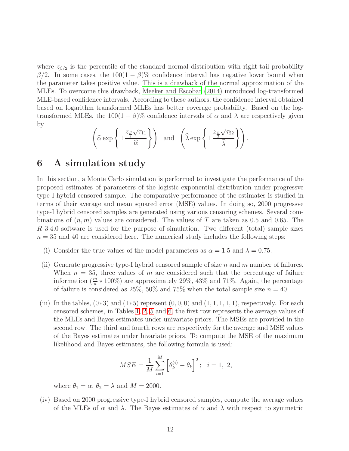where  $z_{\beta/2}$  is the percentile of the standard normal distribution with right-tail probability  $β/2$ . In some cases, the 100(1 –  $β$ )% confidence interval has negative lower bound when the parameter takes positive value. This is a drawback of the normal approximation of the MLEs. To overcome this drawback, [Meeker and Escobar \(2014\)](#page-33-10) introduced log-transformed MLE-based confidence intervals. According to these authors, the confidence interval obtained based on logarithm transformed MLEs has better coverage probability. Based on the logtransformed MLEs, the  $100(1 - \beta)\%$  confidence intervals of  $\alpha$  and  $\lambda$  are respectively given by

$$
\left(\widehat{\alpha} \exp\left\{\pm \frac{z_{\frac{\beta}{2}}\sqrt{\tau_{11}}}{\widehat{\alpha}}\right\}\right) \quad \text{and} \quad \left(\widehat{\lambda} \exp\left\{\pm \frac{z_{\frac{\beta}{2}}\sqrt{\tau_{22}}}{\widehat{\lambda}}\right\}\right).
$$

### 6 A simulation study

In this section, a Monte Carlo simulation is performed to investigate the performance of the proposed estimates of parameters of the logistic exponential distribution under progressve type-I hybrid censored sample. The comparative performance of the estimates is studied in terms of their average and mean squared error (MSE) values. In doing so, 2000 progressve type-I hybrid censored samples are generated using various censoring schemes. Several combinations of  $(n, m)$  values are considered. The values of T are taken as 0.5 and 0.65. The R 3.4.0 software is used for the purpose of simulation. Two different (total) sample sizes  $n = 35$  and 40 are considered here. The numerical study includes the following steps:

- (i) Consider the true values of the model parameters as  $\alpha = 1.5$  and  $\lambda = 0.75$ .
- (ii) Generate progressive type-I hybrid censored sample of size n and m number of failures. When  $n = 35$ , three values of m are considered such that the percentage of failure information  $(\frac{m}{n} * 100\%)$  are approximately 29%, 43% and 71%. Again, the percentage of failure is considered as  $25\%, 50\%$  and  $75\%$  when the total sample size  $n = 40$ .
- (iii) In the tables,  $(0*3)$  and  $(1*5)$  represent  $(0,0,0)$  and  $(1,1,1,1,1)$ , respectively. For each censored schemes, in Tables [1,](#page-15-0) [2,](#page-17-0) [5](#page-21-0) and [6,](#page-23-0) the first row represents the average values of the MLEs and Bayes estimates under univariate priors. The MSEs are provided in the second row. The third and fourth rows are respectively for the average and MSE values of the Bayes estimates under bivariate priors. To compute the MSE of the maximum likelihood and Bayes estimates, the following formula is used:

$$
MSE = \frac{1}{M} \sum_{i=1}^{M} \left[ \theta_k^{(i)} - \theta_k \right]^2; \quad i = 1, 2,
$$

where  $\theta_1 = \alpha$ ,  $\theta_2 = \lambda$  and  $M = 2000$ .

(iv) Based on 2000 progressive type-I hybrid censored samples, compute the average values of the MLEs of  $\alpha$  and  $\lambda$ . The Bayes estimates of  $\alpha$  and  $\lambda$  with respect to symmetric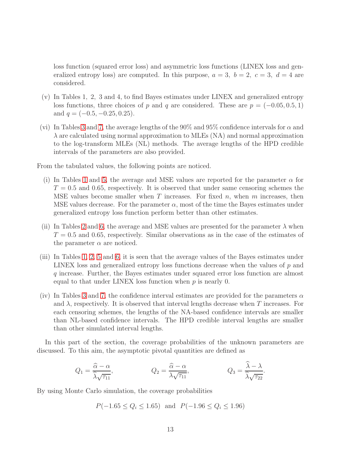loss function (squared error loss) and asymmetric loss functions (LINEX loss and generalized entropy loss) are computed. In this purpose,  $a = 3$ ,  $b = 2$ ,  $c = 3$ ,  $d = 4$  are considered.

- (v) In Tables 1, 2, 3 and 4, to find Bayes estimates under LINEX and generalized entropy loss functions, three choices of p and q are considered. These are  $p = (-0.05, 0.5, 1)$ and  $q = (-0.5, -0.25, 0.25)$ .
- (vi) In Tables [3](#page-18-0) and [7,](#page-24-0) the average lengths of the 90% and 95% confidence intervals for  $\alpha$  and  $\lambda$  are calculated using normal approximation to MLEs (NA) and normal approximation to the log-transform MLEs (NL) methods. The average lengths of the HPD credible intervals of the parameters are also provided.

From the tabulated values, the following points are noticed.

- (i) In Tables [1](#page-15-0) and [5,](#page-21-0) the average and MSE values are reported for the parameter  $\alpha$  for  $T = 0.5$  and 0.65, respectively. It is observed that under same censoring schemes the MSE values become smaller when  $T$  increases. For fixed  $n$ , when  $m$  increases, then MSE values decrease. For the parameter  $\alpha$ , most of the time the Bayes estimates under generalized entropy loss function perform better than other estimates.
- (ii) In Tables [2](#page-17-0) and [6,](#page-23-0) the average and MSE values are presented for the parameter  $\lambda$  when  $T = 0.5$  and 0.65, respectively. Similar observations as in the case of the estimates of the parameter  $\alpha$  are noticed.
- (iii) In Tables [1,](#page-15-0) [2,](#page-17-0) [5](#page-21-0) and [6,](#page-23-0) it is seen that the average values of the Bayes estimates under LINEX loss and generalized entropy loss functions decrease when the values of p and q increase. Further, the Bayes estimates under squared error loss function are almost equal to that under LINEX loss function when  $p$  is nearly 0.
- (iv) In Tables [3](#page-18-0) and [7,](#page-24-0) the confidence interval estimates are provided for the parameters  $\alpha$ and  $\lambda$ , respectively. It is observed that interval lengths decrease when T increases. For each censoring schemes, the lengths of the NA-based confidence intervals are smaller than NL-based confidence intervals. The HPD credible interval lengths are smaller than other simulated interval lengths.

In this part of the section, the coverage probabilities of the unknown parameters are discussed. To this aim, the asymptotic pivotal quantities are defined as

$$
Q_1 = \frac{\widehat{\alpha} - \alpha}{\widehat{\lambda}\sqrt{\tau_{11}}}, \qquad Q_2 = \frac{\widehat{\alpha} - \alpha}{\lambda\sqrt{\tau_{11}}}, \qquad Q_3 = \frac{\widehat{\lambda} - \lambda}{\widehat{\lambda}\sqrt{\tau_{22}}}.
$$

By using Monte Carlo simulation, the coverage probabilities

$$
P(-1.65 \le Q_i \le 1.65)
$$
 and  $P(-1.96 \le Q_i \le 1.96)$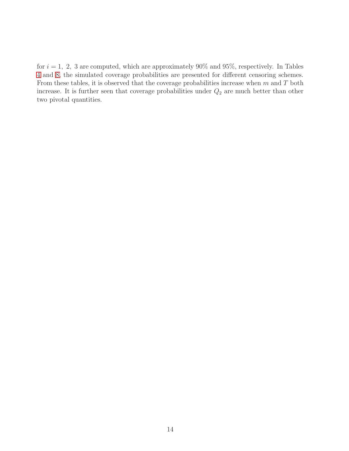for  $i = 1, 2, 3$  are computed, which are approximately 90% and 95%, respectively. In Tables [4](#page-19-0) and [8,](#page-25-0) the simulated coverage probabilities are presented for different censoring schemes. From these tables, it is observed that the coverage probabilities increase when  $m$  and  $T$  both increase. It is further seen that coverage probabilities under  $Q_2$  are much better than other two pivotal quantities.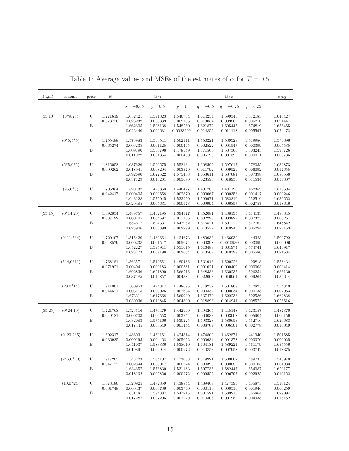| (n,m)   | scheme       | prior        | $\widehat{\alpha}$ |             | $\widehat{\alpha}_{\underline{L}\underline{I}}$ |           |            | $\widehat{\alpha}_{\underline{G}\underline{E}}$ |            | $\widehat{\alpha}_{SQ}$ |
|---------|--------------|--------------|--------------------|-------------|-------------------------------------------------|-----------|------------|-------------------------------------------------|------------|-------------------------|
|         |              |              |                    | $p = -0.05$ | $p = 0.5$                                       | $p=1$     | $q = -0.5$ | $q = -0.25$                                     | $q = 0.25$ |                         |
| (35,10) | $(0*9,25)$   | U            | 1.771619           | 1.652421    | 1.591323                                        | 1.546754  | 1.614254   | 1.599343                                        | 1.572183   | 1.646427                |
|         |              |              | 0.073776           | 0.023232    | 0.008339                                        | 0.002186  | 0.013054   | 0.009869                                        | 0.005210   | 0.021441                |
|         |              | $_{\rm B}$   |                    | 1.662605    | 1.598138                                        | 1.548260  | 1.621872   | 1.605445                                        | 1.574819   | 1.656455                |
|         |              |              |                    | 0.026440    | 0.009631                                        | 0.0023290 | 0.014852   | 0.011118                                        | 0.005597   | 0.024478                |
|         | $(0*5, 5*5)$ | U            | 1.755488           | 1.578983    | 1.533541                                        | 1.502111  | 1.550221   | 1.539328                                        | 1.519986   | 1.574396                |
|         |              |              | 0.065274           | 0.006238    | 0.001125                                        | 0.000445  | 0.002522   | 0.001547                                        | 0.000399   | 0.005535                |
|         |              | $\, {\bf B}$ |                    | 1.609190    | 1.536798<br>0.001354                            | 1.478549  | 1.571560   | 1.537360                                        | 1.503243   | 1.593726                |
|         |              |              |                    | 0.011922    |                                                 | 0.000460  | 0.005120   | 0.001395                                        | 0.000011   | 0.008785                |
|         | $(5*5,0*5)$  | U            | 1.815058           | 1.637626    | 1.590575                                        | 1.558134  | 1.608592   | 1.597617                                        | 1.578055   | 1.632873                |
|         |              |              | 0.099262           | 0.018941    | 0.008204                                        | 0.003379  | 0.011792   | 0.009529                                        | 0.006092   | 0.017655                |
|         |              | B            |                    | 1.692690    | 1.627522                                        | 1.575453  | 1.653611   | 1.637681                                        | 1.607398   | 1.686568                |
|         |              |              |                    | 0.037129    | 0.016261                                        | 0.005690  | 0.023596   | 0.018956                                        | 0.011534   | 0.034807                |
|         | $(25,0^*9)$  | U            | 1.705954           | 1.520137    | 1.476363                                        | 1.446427  | 1.491789   | 1.481120                                        | 1.462359   | 1.515694                |
|         |              |              | 0.042417           | 0.000405    | 0.000558                                        | 0.002870  | 0.000067   | 0.000356                                        | 0.001417   | 0.000246                |
|         |              | $\, {\bf B}$ |                    | 1.643128    | 1.575045                                        | 1.523950  | 1.599971   | 1.582810                                        | 1.552510   | 1.636552                |
|         |              |              |                    | 0.020485    | 0.005631                                        | 0.000573  | 0.009994   | 0.006857                                        | 0.002757   | 0.018646                |
| (35,15) | $(0*14,20)$  | U            | 1.692854           | 1.489757    | 1.432195                                        | 1.394377  | 1.452081   | 1.438135                                        | 1.414133   | 1.483845                |
|         |              |              | 0.037192           | 0.000105    | 0.004597                                        | 0.011156  | 0.002296   | 0.003827                                        | 0.007373   | 0.000261                |
|         |              | $_{\rm B}$   |                    | 1.654617    | 1.594337                                        | 1.547952  | 1.616521   | 1.601222                                        | 1.572762   | 1.648842                |
|         |              |              |                    | 0.023906    | 0.008899                                        | 0.002299  | 0.013577   | 0.010245                                        | 0.005294   | 0.022153                |
|         | $(0*11,5*4)$ | U            | 1.720407           | 1.515420    | 1.460664                                        | 1.424673  | 1.480033   | 1.466939                                        | 1.444323   | 1.509792                |
|         |              |              | 0.048579           | 0.000238    | 0.001547                                        | 0.005674  | 0.000398   | 0.0010930                                       | 0.003099   | 0.000096                |
|         |              | B            |                    | 1.652227    | 1.595911                                        | 1.551615  | 1.616488   | 1.601974                                        | 1.574741   | 1.646917                |
|         |              |              |                    | 0.023173    | 0.009198                                        | 0.002664  | 0.013569   | 0.010398                                        | 0.005586   | 0.021584                |
|         | $(5*4,0*11)$ | U            | 1.768181           | 1.563571    | 1.513551                                        | 1.480486  | 1.531948   | 1.520226                                        | 1.499818   | 1.558434                |
|         |              |              | 0.071921           | 0.004041    | 0.000183                                        | 0.000381  | 0.001021   | 0.000409                                        | 0.000003   | 0.003414                |
|         |              | B            |                    | 1.692836    | 1.621890                                        | 1.566216  | 1.648336   | 1.630235                                        | 1.596254   | 1.686130                |
|         |              |              |                    | 0.037185    | 0.014857                                        | 0.004384  | 0.022003   | 0.016961                                        | 0.009264   | 0.034644                |
|         | $(20,0*14)$  | U            | 1.711001           | 1.560953    | 1.494817                                        | 1.448675  | 1.518232   | 1.501868                                        | 1.472823   | 1.554349                |
|         |              |              | 0.044521           | 0.003715    | 0.000026                                        | 0.002634  | 0.000332   | 0.000034                                        | 0.000738   | 0.002953                |
|         |              | B            |                    | 1.673311    | 1.617668                                        | 1.569930  | 1.637470   | 1.622236                                        | 1.592586   | 1.662838                |
|         |              |              |                    | 0.030036    | 0.013845                                        | 0.004890  | 0.018898   | 0.014941                                        | 0.008572   | 0.026516                |
| (35,25) | $(0*24,10)$  | U            | 1.721768           | 1.526516    | 1.476479                                        | 1.442949  | 1.494265   | 1.445148                                        | 1.423157   | 1.487370                |
|         |              |              | 0.049181           | 0.000703    | 0.000553                                        | 0.003254  | 0.000033   | 0.003008                                        | 0.005904   | 0.000159                |
|         |              | B            |                    | 1.632083    | 1.575166                                        | 1.530225  | 1.593323   | 1.580653                                        | 1.552716   | 1.626688                |
|         |              |              |                    | 0.017445    | 0.005649                                        | 0.001444  | 0.008709   | 0.006504                                        | 0.002778   | 0.016049                |
|         | $(0*20,2*5)$ | U            | 1.692317           | 1.486031    | 1.433151                                        | 1.424814  | 1.474809   | 1.462871                                        | 1.441940   | 1.501585                |
|         |              |              | 0.036985           | 0.000195    | 0.004468                                        | 0.005652  | 0.000634   | 0.001378                                        | 0.003370   | 0.000025                |
|         |              | Β            |                    | 1.641037    | 1.583336                                        | 1.538010  | 1.604181   | 1.589221                                        | 1.561179   | 1.635556                |
|         |              |              |                    | 0.019891    | 0.006944                                        | 0.000972  | 0.010853   | 0.007958                                        | 0.003742   | 0.018375                |
|         | $(2*5,0*20)$ | U            | 1.717205           | 1.548423    | 1.504107                                        | 1.473088  | 1.519921   | 1.509062                                        | 1.489735   | 1.543970                |
|         |              |              | 0.047177           | 0.002344    | 0.000017                                        | 0.000724  | 0.000396   | 0.000082                                        | 0.000105   | 0.001933                |
|         |              | B            |                    | 1.634657    | 1.576830                                        | 1.531183  | 1.597735   | 1.582447                                        | 1.554087   | 1.629177                |
|         |              |              |                    | 0.018132    | 0.005856                                        | 0.000972  | 0.009552   | 0.006797                                        | 0.002925   | 0.016152                |
|         | $(10,0*24)$  | U            | 1.678180           | 1.520925    | 1.472859                                        | 1.438844  | 1.489468   | 1.477395                                        | 1.455875   | 1.516124                |
|         |              |              | 0.031748           | 0.000437    | 0.000736                                        | 0.003740  | 0.000110   | 0.000510                                        | 0.001946   | 0.000259                |
|         |              | B            |                    | 1.631481    | 1.584887                                        | 1.547215  | 1.601521   | 1.589215                                        | 1.565864   | 1.627094                |
|         |              |              |                    | 0.017287    | 0.007205                                        | 0.002229  | 0.010306   | 0.007959                                        | 0.004338   | 0.016152                |

Table 1: Average values and MSEs of the estimates of  $\alpha$  for  $T=0.5$ .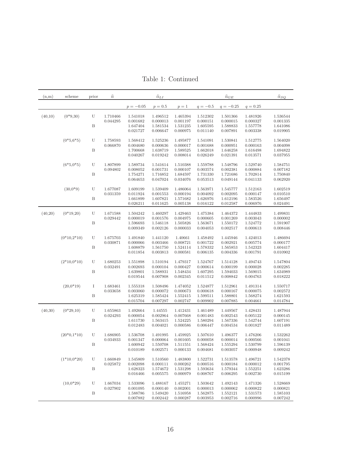Table 1: Continued

<span id="page-15-0"></span>

| (n,m)   | scheme        | prior | $\widehat{\alpha}$   |                      | $\widehat{\alpha}_{\underline{L}\underline{I}}$ |                      |                      | $\widehat{\alpha}_{\underline{GE}}$ |                      | $\widehat{\alpha}_{SQ}$ |
|---------|---------------|-------|----------------------|----------------------|-------------------------------------------------|----------------------|----------------------|-------------------------------------|----------------------|-------------------------|
|         |               |       |                      | $p = -0.05$          | $p = 0.5$                                       | $p=1$                | $q = -0.5$           | $q = -0.25$                         | $q = 0.25$           |                         |
| (40,10) | $(0*9,30)$    | U     | 1.710466             | 1.541018             | 1.496512                                        | 1.465394             | 1.512302             | 1.501366                            | 1.481926             | 1.536544                |
|         |               |       | 0.044295             | 0.001682             | 0.000013                                        | 0.001197             | 0.000151             | 0.000015                            | 0.000327             | 0.001335                |
|         |               | B     |                      | 1.647404<br>0.021727 | 1.581534<br>0.006647                            | 1.531235<br>0.000975 | 1.605595<br>0.011140 | 1.588833<br>0.007891                | 1.557778<br>0.003338 | 1.641086<br>0.019905    |
|         |               |       |                      |                      |                                                 |                      |                      |                                     |                      |                         |
|         | $(0*5,6*5)$   | U     | 1.758593             | 1.568412             | 1.525236                                        | 1.495877             | 1.541091             | 1.530841                            | 1.512775             | 1.564020                |
|         |               | B     | 0.066870             | 0.004680<br>1.700668 | 0.000636<br>1.638719                            | 0.000017<br>1.589525 | 0.001688<br>1.662018 | 0.000951<br>1.646258                | 0.000163<br>1.616498 | 0.004098<br>1.694822    |
|         |               |       |                      | 0.040267             | 0.019242                                        | 0.008014             | 0.026249             | 0.021391                            | 0.013571             | 0.037955                |
|         | $(6*5, 0*5)$  | U     | 1.807899             | 1.589734             | 1.541614                                        | 1.510388             | 1.559788             | 1.548796                            | 1.529740             | 1.584751                |
|         |               |       | 0.094802             | 0.008052             | 0.001731                                        | 0.000107             | 0.003574             | 0.002381                            | 0.000884             | 0.007182                |
|         |               | B     |                      | 1.754271             | 1.716852                                        | 1.684597             | 1.731330             | 1.721686                            | 1.702814             | 1.750840                |
|         |               |       |                      | 0.064653             | 0.047024                                        | 0.034076             | 0.053513             | 0.049144                            | 0.041133             | 0.062920                |
|         | $(30,0*9)$    | U     | 1.677087             | 1.609199             | 1.539409                                        | 1.486064             | 1.563971             | 1.545777                            | 1.512163             | 1.602519                |
|         |               |       | 0.031359             | 0.011924             | 0.001553                                        | 0.000194             | 0.004092             | 0.002095                            | 0.000147             | 0.010510                |
|         |               | B     |                      | 1.661899             | 1.607821                                        | 1.571682             | 1.626976             | 1.612196                            | 1.583526             | 1.656497                |
|         |               |       |                      | 0.026211             | 0.011625                                        | 0.005138             | 0.016122             | 0.012587                            | 0.006976             | 0.024491                |
| (40,20) | $(0*19,20)$   | U     | 1.671588             | 1.504242             | 1.460297                                        | 1.429463             | 1.475384             | 1.464372                            | 1.444833             | 1.499831                |
|         |               |       | 0.029442             | 0.000019             | 0.001576                                        | 0.004975             | 0.000605             | 0.001269                            | 0.003043             | 0.000002                |
|         |               | B     |                      | 1.596693<br>0.009349 | 1.546118<br>0.002126                            | 1.505826<br>0.000033 | 1.563671<br>0.004053 | 1.550172<br>0.002517                | 1.524772<br>0.000613 | 1.591907<br>0.008446    |
|         |               |       |                      |                      |                                                 |                      |                      |                                     |                      |                         |
|         | $(0*10,2*10)$ | U     | 1.675703             | 1.491840             | 1.441120                                        | 1.40661              | 1.458492             | 1.445946                            | 1.424013             | 1.486694                |
|         |               |       | 0.030871             | 0.000066             | 0.003466                                        | 0.008721             | 0.001722             | 0.002921                            | 0.005774             | 0.000177                |
|         |               | B     |                      | 1.608879<br>0.011854 | 1.561750<br>0.003813                            | 1.524114<br>0.000581 | 1.578332<br>0.006135 | 1.565853<br>0.004336                | 1.542323<br>0.001791 | 1.604417<br>0.010902    |
|         |               |       |                      |                      |                                                 |                      |                      |                                     |                      |                         |
|         | $(2*10,0*10)$ | U     | 1.680253             | 1.551898             | 1.510194                                        | 1.479317             | 1.524767             | 1.514128                            | 1.494743             | 1.547804                |
|         |               |       | 0.032491             | 0.002693             | 0.000104                                        | 0.000427             | 0.000614             | 0.000199                            | 0.000028             | 0.002285                |
|         |               | B     |                      | 1.639801<br>0.019544 | 1.588931<br>0.007908                            | 1.548434<br>0.002345 | 1.607295<br>0.011512 | 1.594033<br>0.008842                | 1.569015<br>0.004763 | 1.634989<br>0.018222    |
|         |               |       |                      |                      |                                                 |                      |                      |                                     |                      |                         |
|         | $(20,0*19)$   | Ι     | 1.683461             | 1.555318             | 1.508496                                        | 1.474052             | 1.524877             | 1.512961                            | 1.491314             | 1.550717                |
|         |               | B     | 0.033658             | 0.003060<br>1.625319 | 0.000072<br>1.585424                            | 0.000673<br>1.552415 | 0.000618<br>1.599511 | 0.000167<br>1.588801                | 0.000075<br>1.568274 | 0.002572<br>1.621593    |
|         |               |       |                      | 0.015704             | 0.007297                                        | 0.002747             | 0.009902             | 0.007885                            | 0.004661             | 0.014784                |
|         |               |       |                      |                      |                                                 |                      |                      |                                     |                      |                         |
| (40,30) | $(0*29,10)$   | U     | 1.655863             | 1.492664             | 1.44555                                         | 1.412431             | 1.461489             | 1.449567                            | 1.428431             | 1.487944<br>0.000145    |
|         |               | B     | 0.024293             | 0.000054<br>1.611730 | 0.002964<br>1.563415                            | 0.007668<br>1.524225 | 0.001483<br>1.580294 | 0.002543<br>1.567336                | 0.005122<br>1.542744 | 1.607191                |
|         |               |       |                      | 0.012483             | 0.004021                                        | 0.000586             | 0.006447             | 0.004534                            | 0.001827             | 0.011489                |
|         |               |       |                      |                      |                                                 |                      |                      |                                     |                      |                         |
|         | $(20*0,1*10)$ | U     | 1.686905<br>0.034933 | 1.536708<br>0.001347 | 1.491995<br>0.000064                            | 1.459925<br>0.001605 | 1.507610<br>0.000058 | 1.496377<br>0.000014                | 1.476206<br>0.000566 | 1.532262<br>0.001041    |
|         |               | В     |                      | 1.600942             | 1.550708                                        | 1.511551             | 1.568424             | 1.555294                            | 1.530799             | 1.596139                |
|         |               |       |                      | 0.010189             | 0.002571                                        | 0.000133             | 0.004681             | 0.003057                            | 0.000948             | 0.009242                |
|         | $(1*10,0*20)$ | U     | 1.660849             |                      |                                                 |                      | 1.522731             |                                     |                      |                         |
|         |               |       | 0.025872             | 1.545809<br>0.002098 | 1.510560<br>0.000111                            | 1.483800<br>0.000262 | 0.000516             | 1.513578<br>0.000184                | 1.496721<br>0.000012 | 1.542378<br>0.001795    |
|         |               | B     |                      | 1.628323             | 1.574672                                        | 1.531298             | 1.593634             | 1.579344                            | 1.552251             | 1.623286                |
|         |               |       |                      | 0.016466             | 0.005575                                        | 0.000979             | 0.008767             | 0.006295                            | 0.002730             | 0.015199                |
|         | $(10,0*29)$   | U     | 1.667034             | 1.533096             | 1.488167                                        | 1.455271             | 1.503642             | 1.492143                            | 1.471326             | 1.528669                |
|         |               |       | 0.027902             | 0.001095             | 0.000140                                        | 0.002001             | 0.000013             | 0.000062                            | 0.000822             | 0.000821                |
|         |               | B     |                      | 1.588786             | 1.549420                                        | 1.516958             | 1.562875             | 1.552121                            | 1.531573             | 1.585103                |
|         |               |       |                      | 0.007882             | 0.002442                                        | 0.000287             | 0.003953             | 0.002716                            | 0.000996             | 0.007242                |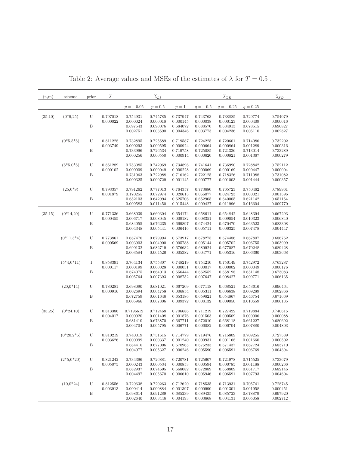| (n,m)   | scheme       | prior            | $\widehat{\lambda}$  |                      | $\widehat{\lambda}_{LI}$ |                      |                      | $\widehat{\lambda}_{\underline{G}\underline{E}}$ |                      | $\widehat{\lambda}_{SQ}$ |
|---------|--------------|------------------|----------------------|----------------------|--------------------------|----------------------|----------------------|--------------------------------------------------|----------------------|--------------------------|
|         |              |                  |                      | $p = -0.05$          | $p = 0.5$                | $p=1$                | $q = -0.5$           | $q = -0.25$                                      | $q = 0.25$           |                          |
| (35,10) | $(0*9,25)$   | U                | 0.797018             | 0.754931             | 0.745785                 | 0.737947             | 0.743763             | 0.738885                                         | 0.729774             | 0.754079                 |
|         |              |                  | 0.000022             | 0.000024             | 0.000018                 | 0.000145             | 0.000038             | 0.000123                                         | 0.000409             | 0.000016                 |
|         |              | B                |                      | 0.697543<br>0.002751 | 0.690076<br>0.003590     | 0.684072<br>0.004346 | 0.688570<br>0.003773 | 0.684913<br>0.004236                             | 0.678515<br>0.005110 | 0.696827<br>0.002827     |
|         | $(0*5, 5*5)$ | U                | 0.811228             | 0.732895             | 0.725589                 | 0.719587             | 0.724225             | 0.720601                                         | 0.714086             | 0.732202                 |
|         |              |                  | 0.003749             | 0.000293             | 0.000595                 | 0.000924             | 0.000664             | 0.000864                                         | 0.001289             | 0.000316                 |
|         |              | $\boldsymbol{B}$ |                      | 0.733996             | 0.726534                 | 0.719758             | 0.725085             | 0.721336                                         | 0.713014             | 0.733289                 |
|         |              |                  |                      | 0.000256             | 0.000550                 | 0.000914             | 0.000620             | 0.000821                                         | 0.001367             | 0.000279                 |
|         | $(5*5,0*5)$  | U                | 0.851289             | 0.753085             | 0.742969                 | 0.734896             | 0.741641             | 0.736990                                         | 0.728842             | 0.752112                 |
|         |              | $\boldsymbol{B}$ | 0.000102             | 0.000009<br>0.731963 | 0.000049<br>0.722988     | 0.000228<br>0.716162 | 0.000069<br>0.722125 | 0.000169<br>0.718326                             | 0.000447<br>0.711988 | 0.000004<br>0.731082     |
|         |              |                  |                      | 0.000325             | 0.000729                 | 0.001145             | 0.000777             | 0.001003                                         | 0.001444             | 0.000357                 |
|         | $(25,0*9)$   | U                | 0.793357             | 0.791262             | 0.777013                 | 0.764357             | 0.773680             | 0.765723                                         | 0.750462             | 0.789961                 |
|         |              |                  | 0.001879             | 0.170255             | 0.072974                 | 0.020613             | 0.056077             | 0.024723                                         | 0.000021             | 0.001596                 |
|         |              | B                |                      | 0.652103             | 0.642994                 | 0.625706             | 0.652905             | 0.640005                                         | 0.621142             | 0.651154                 |
|         |              |                  |                      | 0.009583             | 0.011450                 | 0.015448             | 0.009427             | 0.011996                                         | 0.016604             | 0.009770                 |
| (35,15) | $(0*14,20)$  | U                | 0.771336             | 0.668039             | 0.660304                 | 0.654174             | 0.658611             | 0.654842                                         | 0.648394             | 0.667293                 |
|         |              |                  | 0.000455             | 0.006717             | 0.008045                 | 0.009182             | 0.008351             | 0.009054                                         | 0.010323             | 0.006840                 |
|         |              | B                |                      | 0.684055             | 0.676235                 | 0.669897             | 0.674424             | 0.670470                                         | 0.663523             | 0.683308                 |
|         |              |                  |                      | 0.004348             | 0.005441                 | 0.006416             | 0.005711             | 0.006325                                         | 0.007478             | 0.004447                 |
|         | $(0*11,5*4)$ | U                | 0.773861             | 0.687476             | 0.679994                 | 0.673917             | 0.678275             | 0.674486                                         | 0.667807             | 0.686762                 |
|         |              |                  | 0.000569             | 0.003903             | 0.004900                 | 0.005788             | 0.005144             | 0.005702                                         | 0.006755             | 0.003999                 |
|         |              | B                |                      | 0.690132<br>0.003584 | 0.682719                 | 0.676632<br>0.005382 | 0.680924<br>0.004771 | 0.677087                                         | 0.670248             | 0.689428<br>0.003668     |
|         |              |                  |                      |                      | 0.004526                 |                      |                      | 0.005316                                         | 0.006360             |                          |
|         | $(5*4,0*11)$ | Ι                | 0.858391             | 0.764134             | 0.755307                 | 0.748219             | 0.754210             | 0.750149                                         | 0.742972             | 0.763287                 |
|         |              |                  | 0.000117             | 0.000199             | 0.000028                 | 0.000031             | 0.000017             | 0.000002                                         | 0.000049             | 0.000176                 |
|         |              | B                |                      | 0.674075<br>0.005764 | 0.664013<br>0.007393     | 0.656444<br>0.008752 | 0.662552<br>0.007647 | 0.658198<br>0.008427                             | 0.651148<br>0.009771 | 0.673083<br>0.006135     |
|         |              |                  |                      |                      |                          |                      |                      |                                                  |                      |                          |
|         | $(20,0*14)$  | U                | 0.780281<br>0.000916 | 0.698090<br>0.002694 | 0.681021<br>0.004758     | 0.667209<br>0.006854 | 0.677118<br>0.005311 | 0.668521<br>0.006638                             | 0.653616<br>0.009289 | 0.696464<br>0.002866     |
|         |              | B                |                      | 0.672759             | 0.661646                 | 0.653186             | 0.659821             | 0.654867                                         | 0.646754             | 0.671669                 |
|         |              |                  |                      | 0.005966             | 0.007806                 | 0.009372             | 0.008132             | 0.009050                                         | 0.010659             | 0.006135                 |
| (35,25) | $(0*24,10)$  | U                | 0.813386             | 0.7196612            | 0.712468                 | 0.706686             | 0.711219             | 0.727422                                         | 0.719884             | 0.740615                 |
|         |              |                  | 0.004017             | 0.000920             | 0.001408                 | 0.001876             | 0.001503             | 0.000509                                         | 0.000906             | 0.000088                 |
|         |              | B                |                      | 0.681410             | 0.673870                 | 0.667711             | 0.672010             | 0.668118                                         | 0.661227             | 0.680692                 |
|         |              |                  |                      | 0.004704             | 0.005795                 | 0.006771             | 0.006082             | 0.006704                                         | 0.007880             | 0.004803                 |
|         | $(0*20,2*5)$ | U                | 0.810219             | 0.740019             | 0.731615                 | 0.714779             | 0.719476             | 0.715809                                         | 0.709255             | 0.727589                 |
|         |              |                  | 0.003626             | 0.000099             | 0.000337                 | 0.001240             | 0.000931             | 0.001168                                         | 0.001660             | 0.000502                 |
|         |              | Β                |                      | 0.684416<br>0.004977 | 0.677006<br>0.005327     | 0.670965<br>0.006246 | 0.675233<br>0.005590 | 0.671437<br>0.006591                             | 0.667724<br>0.006769 | 0.683710<br>0.004394     |
|         |              |                  |                      |                      |                          |                      |                      |                                                  |                      |                          |
|         | $(2*5,0*20)$ | U                | 0.821242             | 0.734396             | 0.726881                 | 0.720781             | 0.725607             | 0.721978                                         | 0.715525             | 0.733679                 |
|         |              | B                | 0.005075             | 0.000243<br>0.682937 | 0.000534<br>0.674695     | 0.000853             | 0.000594<br>0.672889 | 0.000785                                         | 0.001188<br>0.661717 | 0.000266                 |
|         |              |                  |                      | 0.004497             | 0.005670                 | 0.668082<br>0.006610 | 0.005946             | 0.668809<br>0.006591                             | 0.007793             | 0.682146<br>0.004604     |
|         |              |                  | 0.812556             |                      |                          |                      |                      |                                                  |                      |                          |
|         | $(10,0*24)$  | U                | 0.003913             | 0.729638<br>0.000414 | 0.720263<br>0.000884     | 0.712620<br>0.001397 | 0.718535<br>0.000990 | 0.713931<br>0.001301                             | 0.705741<br>0.001958 | 0.728745<br>0.000451     |
|         |              | B                |                      | 0.698614             | 0.691289                 | 0.685239             | 0.689435             | 0.685723                                         | 0.678879             | 0.697920                 |
|         |              |                  |                      | 0.002640             | 0.003446                 | 0.004193             | 0.003668             | 0.004131                                         | 0.005058             | 0.002712                 |

Table 2: Average values and MSEs of the estimates of  $\lambda$  for  $T=0.5$  .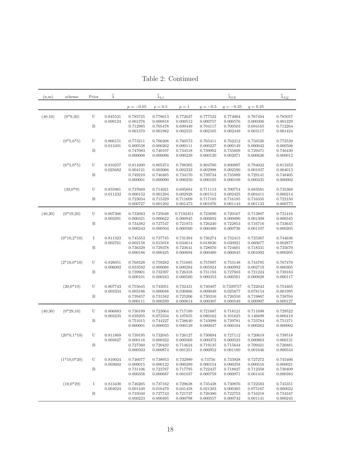Table 2: Continued

<span id="page-17-0"></span>

| (n,m)   | scheme        | Prior        | $\widehat{\lambda}$ |             | $\widehat{\lambda}_{LI}$ |           |            | $\widehat{\lambda}_{GE}$ |               | $\widehat{\lambda}_{SQ}$ |
|---------|---------------|--------------|---------------------|-------------|--------------------------|-----------|------------|--------------------------|---------------|--------------------------|
|         |               |              |                     | $p = -0.05$ | $p = 0.5$                | $p=1$     | $q = -0.5$ | $q = -0.25$              | $q = 0.25$    |                          |
| (40,10) | $(0*9,30)$    | U            | 0.845521            | 0.785725    | 0.778613                 | 0.772627  | 0.777522   | 0.774004                 | 0.767494      | 0.785057                 |
|         |               |              | 0.009124            | 0.001276    | 0.000818                 | 0.000512  | 0.000757   | 0.000576                 | 0.000306      | 0.001229                 |
|         |               | B            |                     | 0.712985    | 0.705478                 | 0.699449  | 0.704117   | 0.700503                 | 0.694165      | 0.712264                 |
|         |               |              |                     | 0.001370    | 0.001982                 | 0.002555  | 0.002105   | 0.002449                 | 0.003117      | 0.001424                 |
|         | $(0*5,6*5)$   | U            | 0.866151            | 0.773211    | 0.766208                 | 0.760573  | 0.765411   | 0.762212                 | 0.756526      | 0.772539                 |
|         |               |              | 0.013491            | 0.000538    | 0.000262                 | 0.000111  | 0.000237   | 0.000149                 | 0.000042      | 0.000508                 |
|         |               | B            |                     | 0.747083    | 0.740197                 | 0.734518  | 0.739002   | 0.735609                 | 0.729471      | 0.746430                 |
|         |               |              |                     | 0.000008    | 0.000096                 | 0.000239  | 0.000120   | 0.002071                 | 0.000626      | 0.000012                 |
|         | $(6*5, 0*5)$  | U            | 0.910257            | 0.814200    | 0.805374                 | 0.798305  | 0.804760   | 0.800897                 | 0.794022      | 0.813352                 |
|         |               |              | 0.025682            | 0.004121    | 0.003066                 | 0.002333  | 0.002998   | 0.002590                 | 0.001937      | 0.004013                 |
|         |               | B            |                     | 0.749210    | 0.740485                 | 0.734170  | 0.739734   | 0.735889                 | 0.729141      | 0.748405                 |
|         |               |              |                     | 0.000001    | 0.000090                 | 0.000250  | 0.000105   | 0.000199                 | 0.000435      | 0.000002                 |
|         | $(30,0^*9)$   | U            | 0.855981            | 0.737669    | 0.714021                 | 0.695884  | 0.711113   | 0.700754                 | 0.683581      | 0.735368                 |
|         |               |              | 0.011232            | 0.000152    | 0.001294                 | 0.002928  | 0.001512   | 0.002425                 | 0.004411      | 0.000214                 |
|         |               | B            |                     | 0.723034    | 0.715329                 | 0.711609  | 0.717185   | 0.716185                 | 0.716335      | 0.722150                 |
|         |               |              |                     | 0.000727    | 0.001202                 | 0.001473  | 0.001076   | 0.001143                 | 0.001133      | 0.000775                 |
| (40,20) | $(0*19,20)$   | U            | 0.807366            | 0.732083    | 0.725048                 | 0.7192451 | 0.723690   | 0.720167                 | 0.713807      | 0.731416                 |
|         |               |              | 0.003291            | 0.000321    | 0.000622                 | 0.000945  | 0.000692   | 0.000890                 | 0.001309      | 0.000345                 |
|         |               | B            |                     | 0.734382    | 0.727547                 | 0.721973  | 0.726240   | 0.722853                 | 0.716716      | 0.733645                 |
|         |               |              |                     | 0.000243    | 0.000504                 | 0.000560  | 0.000480   | 0.000736                 | 0.001107      | 0.000205                 |
|         | $(0*10,2*10)$ | I            | 0.811323            | 0.745353    | 0.737745                 | 0.731394  | 0.736274   | 0.732415                 | 0.725367      | 0.744636                 |
|         |               |              | 0.003761            | 0.002158    | 0.015018                 | 0.034614  | 0.018836   | 0.030921                 | 0.060677      | 0.002877                 |
|         |               | B            |                     | 0.736329    | 0.729378                 | 0.723641  | 0.728070   | 0.724601                 | 0.718331      | 0.735670                 |
|         |               |              |                     | 0.000186    | 0.000425                 | 0.000694  | 0.000480   | 0.000645                 | 0.001002      | 0.000205                 |
|         | $(2*10,0*10)$ | U            | 0.828051            | 0.768328    | 0.759282                 | 0.751685  | 0.757697   | 0.753148                 | 0.744785      | 0.767478                 |
|         |               |              | 0.006092            | 0.033592    | 0.000086                 | 0.000284  | 0.005924   | 0.000992                 | 0.002719      | 0.000305                 |
|         |               | B            |                     | 0.739901    | 0.732397                 | 0.726318  | 0.731193   | 0.727603                 | 0.721224      | 0.739183                 |
|         |               |              |                     | 0.000101    | 0.000243                 | 0.000560  | 0.000353   | 0.000501                 | 0.000828      | 0.000117                 |
|         | $(20,0*19)$   | U            | 0.807743            | 0.755645    | 0.743051                 | 0.732431  | 0.740487   | 0.7339757                | 0.722043      | 0.754465                 |
|         |               |              | 0.003334            | 0.003186    | 0.000048                 | 0.030866  | 0.009049   | 0.025677                 | 0.078154      | 0.001995                 |
|         |               | B            |                     | 0.739457    | 0.731582                 | 0.725206  | 0.730316   | 0.726550                 | 0.719867      | 0.738704                 |
|         |               |              |                     | 0.000111    | 0.000339                 | 0.000614  | 0.000387   | 0.000549                 | 0.000907      | 0.000127                 |
| (40,30) | $(0*29,10)$   | U            | 0.806883            | 0.730199    | 0.723064                 | 0.717189  | 0.721687   | 0.718121                 | 0.711698      | 0.729522                 |
|         |               |              | 0.003235            | 0.039205    | 0.072334                 | 0.107655  | 0.080162   | 0.101625                 | 0.146699      | 0.000419                 |
|         |               | B            |                     | 0.751015    | 0.744227                 | 0.738640  | 0.743099   | 0.739781                 | 0.733784      | 0.751371                 |
|         |               |              |                     | 0.000001    | 0.000033                 | 0.000129  | 0.000047   | 0.000104                 | 0.000262      | 0.000002                 |
|         | $(20*0,1*10)$ | U            | 0.811869            | 0.739195    | 0.732045                 | 0.726127  | 0.730694   | 0.727112                 | 0.720619      | 0.738518                 |
|         |               |              | 0.003827            | 0.000116    | 0.000322                 | 0.000569  | 0.000372   | 0.000523                 | 0.000863      | 0.000131                 |
|         |               | $\, {\bf B}$ |                     | 0.727560    | 0.720432                 | 0.714624  | 0.719135   | 0.715644                 | 0.709421      | 0.726881                 |
|         |               |              |                     | 0.000503    | 0.000874                 | 0.001251  | 0.000952   | 0.001180                 | 0.001646      | 0.000534                 |
|         | $(1*10,0*20)$ | U            | 0.810024            | 0.746077    | 0.738953                 | 0.732989  | 0.73756    | 0.733928                 | 0.727272      | 0.745406                 |
|         |               |              | 0.003602            | 0.000015    | 0.000122                 | 0.000289  | 0.000154   | 0.000258                 | 0.000516      | 0.000021                 |
|         |               | B            |                     | 0.731106    | 0.723787                 | 0.717795  | 0.722437   | 0.718827                 | 0.712358      | 0.730409                 |
|         |               |              |                     | 0.000356    | 0.000687                 | 0.001037  | 0.000759   | 0.000971                 | 0.001416      | 0.000383                 |
|         | $(10.0*29)$   | Ι            | 0.813438            | 0.746205    | 0.737162                 | 0.729638  | 0.735438   | 0.730876                 | ${ 0.722583}$ | 0.745351                 |
|         |               |              | 0.004024            | 0.001440    | 0.016479                 | 0.041458  | 0.021203   | 0.000365                 | 0.075167      | 0.000022                 |
|         |               | B            |                     | 0.735040    | 0.727743                 | 0.721737  | 0.726380   | 0.722753                 | 0.716218      | 0.734347                 |
|         |               |              |                     | 0.000223    | 0.000495                 | 0.000798  | 0.000557   | 0.000742                 | 0.001141      | 0.000245                 |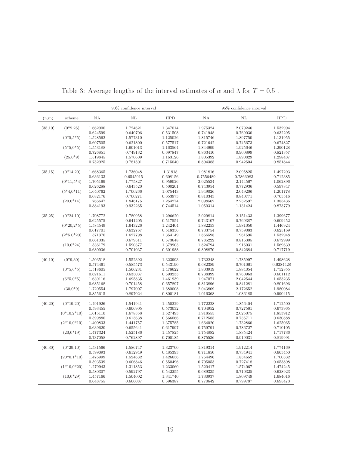|         |               |                      | 90% confidence interval |                      |                      | 95% confidence interval |                      |
|---------|---------------|----------------------|-------------------------|----------------------|----------------------|-------------------------|----------------------|
| (n,m)   | scheme        | NA                   | NL                      | <b>HPD</b>           | NA                   | NL                      | <b>HPD</b>           |
| (35,10) | $(0*9.25)$    | 1.662900             | 1.724621                | 1.347014             | 1.975324             | 2.079246                | 1.532994             |
|         |               | 0.624599             | 0.640706                | 0.531508             | 0.741948             | 0.769030                | 0.632295             |
|         | $(0*5, 5*5)$  | 1.528562             | 1.577310                | 1.125026             | 1.815746             | 1.897750                | 1.131955             |
|         |               | 0.607505             | 0.621800                | 0.577517             | 0.721642             | 0.745673                | 0.674827             |
|         | $(5*5,0*5)$   | 1.553188             | 1.601013                | 1.163564             | 1.844999             | 1.925646                | 1.290128             |
|         |               | 0.726851             | 0.749132                | 0.697847             | 0.863410             | 0.900899                | 0.821357             |
|         | $(25,0^*9)$   | 1.519845             | 1.570609                | 1.163126             | 1.805392             | 1.890829                | 1.298437             |
|         |               | 0.752925             | 0.781501                | 0.715040             | 0.894385             | 0.942504                | 0.851844             |
| (35,15) | $(0*14,20)$   | 1.668365             | 1.736048                | 1.31918              | 1.981816             | 2.095825                | 1.497293             |
|         |               | 0.636133             | 0.6545915               | 0.608156             | 0.7556489            | 0.7866983               | 0.712385             |
|         | $(0*11,5*4)$  | 1.705169             | 1.775827                | 0.959026             | 2.025534             | 2.144567                | 1.062896             |
|         |               | 0.626288             | 0.643520                | 0.500201             | 0.743954             | 0.772936                | 0.597847             |
|         | $(5*4,0*11)$  | 1.640762             | 1.700266                | 1.075443             | 1.949026             | 2.049206                | 1.201778             |
|         |               | 0.682176             | 0.700271                | 0.653973             | 0.810343             | 0.840771                | 0.765516             |
|         | $(20,0*14)$   | 1.766647             | 1.846175                | 1.254274             | 2.098562             | 2.232597                | 1.385436             |
|         |               | 0.884193             | 0.932265                | 0.744514             | 1.050314             | 1.131424                | 0.873779             |
|         |               |                      |                         |                      |                      |                         |                      |
| (35,25) | $(0*24,10)$   | 1.708772             | 1.780958                | 1.296620             | 2.029814             | 2.151433                | 1.399677             |
|         |               | 0.625575             | 0.641205                | 0.517554             | 0.743107             | 0.769387                | 0.609452             |
|         | $(0*20,2*5)$  | 1.584549             | 1.643226                | 1.242404             | 1.882253             | 1.981050                | 1.446924             |
|         |               | 0.617701             | 0.632767                | 0.518356             | 0.733754             | 0.759083                | 0.625169             |
|         | $(2*5,0*20)$  | 1.571370             | 1.627798                | 1.354149             | 1.866598             | 1.961595                | 1.532948             |
|         |               | 0.661035             | 0.679511                | 0.573648             | 0.785222             | 0.816305                | 0.672999             |
|         | $(10,0*24)$   | 1.536179             | 1.590377                | 1.379903             | 1.824794             | 1.916031                | 1.569639             |
|         |               | $0.680936\,$         | 0.701037                | 0.601988             | 0.808870             | 0.842684                | 0.717719             |
| (40,10) | $(0*9,30)$    | 1.503518             | 1.552392                | 1.323993             | 1.732248             | 1.785997                | 1.498628             |
|         |               | 0.574461             | 0.585573                | 0.543190             | 0.682389             | 0.701061                | 0.6284428            |
|         | $(0*5,6*5)$   | 1.518605             | 1.566231                | 1.478622             | 1.803919             | 1.884054                | 1.752855             |
|         |               | 0.621611             | 0.635037                | 0.593233             | 0.738399             | 0.760963                | 0.661112             |
|         | $(6*5, 0*5)$  | 1.639116             | 1.695835                | 1.461939             | 1.947071             | 2.042544                | 1.653235             |
|         |               | 0.685168             | 0.701458                | 0.657897             | 0.813896             | 0.841281                | 0.801696             |
|         | $(30,0*9)$    | 1.720554             | 1.797007                | 1.680008             | 2.043809             | 2.172652                | 1.980084             |
|         |               | 0.855615             | 0.897024                | 0.800181             | 1.016368             | 1.086185                | 0.990415             |
|         |               |                      |                         |                      |                      |                         |                      |
| (40,20) | $(0*19,20)$   | 1.491926             | 1.541941                | 1.450229             | 1.772228             | 1.856404                | 1.712500             |
|         |               | 0.593455             | 0.606905                | 0.573032<br>1.527493 | 0.704952             | 0.727561                | 0.673965<br>1.853912 |
|         | $(0*10,2*10)$ | 1.615110<br>0.599880 | 1.678358<br>0.613638    | 0.566066             | 1.918555<br>0.712585 | 2.025075<br>0.735711    | 0.630888             |
|         | $(2*10,0*10)$ | 1.400833             | 1.441757                | 1.375785             | 1.664020             | 1.732860                | 1.625065             |
|         |               | 0.639620             | 0.655641                | 0.617997             | 0.759791             | 0.786727                | 0.710105             |
|         | $(20,0*19)$   | 1.477324             | 1.525186                | 1.457825             | 1.754882             | 1.835424                | 1.717736             |
|         |               | 0.737058             | 0.762897                | 0.700185             | 0.875536             | 0.919031                | 0.819991             |
|         |               |                      |                         |                      |                      |                         |                      |
| (40,30) | $(0*29,10)$   | 1.531566             | 1.586747                | 1.323700             | 1.819314             | 1.912214                | 1.774169             |
|         |               | 0.599093             | 0.612949                | 0.485393             | 0.711650             | 0.734941                | 0.665450             |
|         | $(20*0,1*10)$ | 1.476999             | 1.524632                | 1.426656             | 1.754496             | 1.834652                | 1.700332             |
|         |               | 0.593539             | 0.606846                | 0.550496             | 0.705053             | 0.727418                | 0.653898             |
|         | $(1*10,0*20)$ | 1.279943             | 1.311853                | 1.233060             | 1.520417             | 1.574067                | 1.474245             |
|         |               | 0.580307             | 0.592797                | 0.542255             | 0.689335             | 0.710325                | 0.628923             |
|         | $(10,0*29)$   | 1.457166             | 1.504002                | 1.341740             | 1.730937             | 1.809749                | 1.684616             |
|         |               | 0.648755             | 0.666087                | 0.596387             | 0.770642             | 0.799787                | 0.695473             |

<span id="page-18-0"></span>Table 3: Average lengths of the interval estimates of  $\alpha$  and  $\lambda$  for  $T=0.5$  .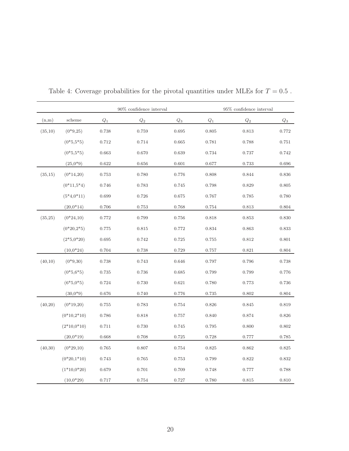|          |                |                 | 90% confidence interval |             |       | 95% confidence interval<br>$\mathcal{Q}_1$<br>$\mathbb{Q}_2$<br>0.805<br>0.813<br>0.781<br>0.788<br>0.734<br>0.737<br>0.677<br>0.733<br>0.844<br>0.808<br>0.798<br>0.829<br>0.767<br>0.785<br>0.754<br>$\,0.813\,$<br>0.818<br>0.853<br>0.834<br>0.863<br>0.812<br>0.755<br>0.757<br>0.821<br>0.797<br>0.796<br>0.799<br>0.799 |           |  |  |  |
|----------|----------------|-----------------|-------------------------|-------------|-------|--------------------------------------------------------------------------------------------------------------------------------------------------------------------------------------------------------------------------------------------------------------------------------------------------------------------------------|-----------|--|--|--|
| (n,m)    | scheme         | $\mathcal{Q}_1$ | $\mathbb{Q}_2$          | $Q_3$       |       |                                                                                                                                                                                                                                                                                                                                | $Q_3$     |  |  |  |
| (35,10)  | $(0*9,25)$     | $0.738\,$       | 0.759                   | 0.695       |       |                                                                                                                                                                                                                                                                                                                                | 0.772     |  |  |  |
|          | $(0*5, 5*5)$   | 0.712           | 0.714                   | 0.665       |       |                                                                                                                                                                                                                                                                                                                                | 0.751     |  |  |  |
|          | $(0*5, 5*5)$   | 0.663           | 0.670                   | 0.639       |       |                                                                                                                                                                                                                                                                                                                                | 0.742     |  |  |  |
|          | $(25,0^*9)$    | 0.622           | 0.656                   | 0.601       |       |                                                                                                                                                                                                                                                                                                                                | 0.696     |  |  |  |
| (35,15)  | $(0*14,20)$    | 0.753           | 0.780                   | 0.776       |       |                                                                                                                                                                                                                                                                                                                                | 0.836     |  |  |  |
|          | $(0*11, 5*4)$  | 0.746           | 0.783                   | 0.745       |       |                                                                                                                                                                                                                                                                                                                                | 0.805     |  |  |  |
|          | $(5*4,0*11)$   | 0.699           | 0.726                   | 0.675       |       |                                                                                                                                                                                                                                                                                                                                | 0.780     |  |  |  |
|          | $(20,0*14)$    | $0.706\,$       | 0.753                   | $0.768\,$   |       |                                                                                                                                                                                                                                                                                                                                | 0.804     |  |  |  |
| (35,25)  | $(0*24,10)$    | 0.772           | 0.799                   | 0.756       |       |                                                                                                                                                                                                                                                                                                                                | 0.830     |  |  |  |
|          | $(0*20, 2*5)$  | 0.775           | 0.815                   | 0.772       |       |                                                                                                                                                                                                                                                                                                                                | 0.833     |  |  |  |
|          | $(2*5,0*20)$   | 0.695           | 0.742                   | $0.725\,$   |       |                                                                                                                                                                                                                                                                                                                                | 0.801     |  |  |  |
|          | $(10,0*24)$    | $0.704\,$       | 0.738                   | 0.729       |       |                                                                                                                                                                                                                                                                                                                                | 0.804     |  |  |  |
| (40,10)  | $(0*9,30)$     | $0.738\,$       | 0.743                   | 0.646       |       |                                                                                                                                                                                                                                                                                                                                | 0.738     |  |  |  |
|          | $(0*5,6*5)$    | 0.735           | 0.736                   | 0.685       |       |                                                                                                                                                                                                                                                                                                                                | 0.776     |  |  |  |
|          | $(6*5, 0*5)$   | 0.724           | 0.730                   | $\,0.621\,$ | 0.780 | 0.773                                                                                                                                                                                                                                                                                                                          | 0.736     |  |  |  |
|          | $(30,0*9)$     | 0.676           | 0.740                   | $0.776\,$   | 0.735 | 0.802                                                                                                                                                                                                                                                                                                                          | $0.804\,$ |  |  |  |
| (40,20)  | $(0*19,20)$    | 0.755           | 0.783                   | 0.754       | 0.826 | 0.845                                                                                                                                                                                                                                                                                                                          | 0.819     |  |  |  |
|          | $(0*10, 2*10)$ | 0.786           | 0.818                   | 0.757       | 0.840 | 0.874                                                                                                                                                                                                                                                                                                                          | 0.826     |  |  |  |
|          | $(2*10,0*10)$  | 0.711           | 0.730                   | 0.745       | 0.795 | 0.800                                                                                                                                                                                                                                                                                                                          | 0.802     |  |  |  |
|          | $(20,0*19)$    | 0.668           | 0.708                   | $0.725\,$   | 0.728 | 0.777                                                                                                                                                                                                                                                                                                                          | 0.785     |  |  |  |
| (40, 30) | $(0*29,10)$    | 0.765           | 0.807                   | 0.754       | 0.825 | 0.862                                                                                                                                                                                                                                                                                                                          | 0.825     |  |  |  |
|          | $(0*20,1*10)$  | 0.743           | 0.765                   | 0.753       | 0.799 | 0.822                                                                                                                                                                                                                                                                                                                          | 0.832     |  |  |  |
|          | $(1*10,0*20)$  | 0.679           | 0.701                   | 0.709       | 0.748 | 0.777                                                                                                                                                                                                                                                                                                                          | 0.788     |  |  |  |
|          | $(10,0*29)$    | 0.717           | 0.754                   | 0.727       | 0.780 | 0.815                                                                                                                                                                                                                                                                                                                          | 0.810     |  |  |  |

<span id="page-19-0"></span>Table 4: Coverage probabilities for the pivotal quantities under MLEs for  $T=0.5$  .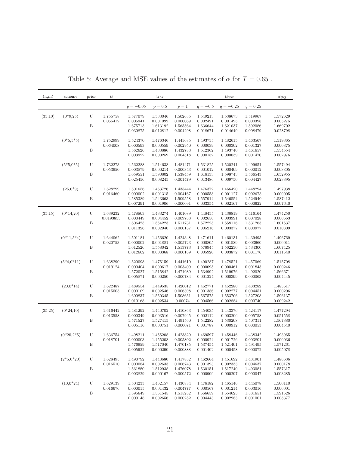| (n,m)   | scheme       | prior      | $\widehat{\alpha}$ |                      | $\widehat{\alpha}_{\underline{L}\underline{I}}$ |                      |                      | $\widehat{\alpha}_{\underline{GE}}$ |                      | $\widehat{\alpha}_{SQ}$ |
|---------|--------------|------------|--------------------|----------------------|-------------------------------------------------|----------------------|----------------------|-------------------------------------|----------------------|-------------------------|
|         |              |            |                    | $p = -0.05$          | $p = 0.5$                                       | $p=1$                | $q = -0.5$           | $q = -0.25$                         | $q = 0.25$           |                         |
| (35,10) | $(0*9,25)$   | U          | 1.755758           | 1.577079             | 1.533046                                        | 1.502635             | 1.549213             | 1.538673                            | 1.519967             | 1.572629                |
|         |              |            | 0.065412           | 0.005941             | 0.001092                                        | 0.000069             | 0.002421             | 0.001495                            | 0.000398             | 0.005275                |
|         |              | $_{\rm B}$ |                    | 1.675713             | 1.613192                                        | 1.565564             | 1.636644             | 1.621037                            | 1.592086             | 1.669702                |
|         |              |            |                    | 0.030875             | 0.012812                                        | 0.004298             | 0.018671             | 0.014649                            | 0.008479             | 0.028798                |
|         | $(0*5, 5*5)$ | U          | 1.752999           | 1.524370             | 1.476346                                        | 1.445685             | 1.493755             | 1.482615                            | 1.463567             | 1.519365                |
|         |              | B          | 0.064008           | 0.000593<br>1.562626 | 0.000559<br>1.483886                            | 0.002950<br>1.432783 | 0.000039<br>1.512362 | 0.000302<br>1.493740                | 0.001327<br>1.461657 | 0.000375<br>1.554554    |
|         |              |            |                    | 0.003922             | 0.000259                                        | 0.004518             | 0.000152             | 0.000039                            | 0.001470             | 0.002976                |
|         | $(5*5,0*5)$  | U          | 1.732273           | 1.562288             | 1.514638                                        | 1.481471             | 1.531825             | 1.520241                            | 1.499651             | 1.557494                |
|         |              |            | 0.053950           | 0.003879             | 0.000214                                        | 0.000343             | 0.001012             | 0.000409                            | 0.000012             | 0.003305                |
|         |              | B          |                    | 1.659551             | 1.590802                                        | 1.538459             | 1.616133             | 1.598743                            | 1.566543             | 1.652955                |
|         |              |            |                    | 0.025456             | 0.008245                                        | 0.001479             | 0.013486             | 0.009750                            | 0.004427             | 0.023395                |
|         | $(25,0^*9)$  | U          | 1.628299           | 1.501656             | 1.463726                                        | 1.435444             | 1.476372             | 1.466420                            | 1.448294             | 1.497938                |
|         |              |            | 0.016460           | 0.000002             | 0.001315                                        | 0.004167             | 0.000558             | 0.001127                            | 0.002673             | 0.000005                |
|         |              | B          |                    | 1.585389<br>0.007291 | 1.543663<br>0.001906                            | 1.509558<br>0.000091 | 1.557914<br>0.003354 | 1.546554<br>0.002167                | 1.524940<br>0.000622 | 1.587412<br>0.007640    |
| (35,15) | $(0*14,20)$  | U          | 1.639232           | 1.478803             | 1.433274                                        | 1.401089             | 1.448455             | 1.436819                            | 1.416164             | 1.474250                |
|         |              |            | 0.0193855          | 0.000449             | 0.004452                                        | 0.009783             | 0.002656             | 0.003991                            | 0.007028             | 0.000663                |
|         |              | $_{\rm B}$ |                    | 1.606425             | 1.554223                                        | 1.511731             | 1.572225             | 1.558116                            | 1.531263             | 1.601537                |
|         |              |            |                    | 0.011326             | 0.002940                                        | 0.000137             | 0.005216             | 0.003377                            | 0.000977             | 0.010309                |
|         | $(0*11,5*4)$ | U          | 1.644062           | 1.501181             | 1.456620                                        | 1.424348             | 1.471611             | 1.460131                            | 1.439495             | 1.496769                |
|         |              |            | 0.020753           | 0.000002             | 0.001881                                        | 0.005723             | 0.000805             | 0.001589                            | 0.003660             | 0.000011                |
|         |              | B          |                    | 1.612526             | 1.558042                                        | 1.513773             | 1.576945             | 1.562230                            | 1.534300             | 1.607425                |
|         |              |            |                    | 0.012662             | 0.003368                                        | 0.000189             | 0.005920             | 0.003872                            | 0.001176             | 0.011540                |
|         | $(5*4,0*11)$ | U          | 1.638290           | 1.520098             | 1.475159                                        | 1.441610             | 1.490287             | 1.478521                            | 1.457069             | 1.515708                |
|         |              |            | 0.019124           | 0.000404             | 0.000617                                        | 0.003409             | 0.000095             | 0.000461                            | 0.001843             | 0.000246                |
|         |              | B          |                    | 1.572027             | 1.515842                                        | 1.471989             | 1.534992             | 1.519976                            | 1.492020             | 1.566671                |
|         |              |            |                    | 0.005871             | 0.000250                                        | 0.000784             | 0.001224             | 0.000399                            | 0.000063             | 0.004445                |
|         | $(20,0*14)$  | U          | 1.622487           | 1.489554             | 1.449535                                        | 1.420012             | 1.462771             | 1.452280                            | 1.433282             | 1.485617                |
|         |              |            | 0.015003           | 0.000109             | 0.002546                                        | 0.006398             | 0.001386             | 0.002277                            | 0.004451             | 0.000206                |
|         |              | B          |                    | 1.600837<br>0.010168 | 1.550345<br>0.002534                            | 1.508651<br>0.00074  | 1.567575<br>0.004566 | 1.553706<br>0.002884                | 1.527208<br>0.000740 | 1.596137<br>0.009242    |
|         |              |            |                    |                      |                                                 |                      |                      |                                     |                      |                         |
| (35,25) | $(0*24,10)$  | U          | 1.616442           | 1.481292             | 1.440702                                        | 1.410863             | 1.454035             | 1.443376                            | 1.424117             | 1.477294                |
|         |              |            | 0.013558           | 0.000349<br>1.571527 | 0.003516                                        | 0.007945<br>1.491560 | 0.002112             | 0.003206                            | 0.005758             | 0.051558                |
|         |              | B          |                    | 0.005116             | 1.527415<br>0.000751                            | 0.000071             | 1.542282<br>0.001787 | 1.530208<br>0.000912                | 1.507311<br>0.000053 | 1.567380<br>0.004540    |
|         |              |            |                    |                      |                                                 |                      |                      |                                     |                      |                         |
|         | $(0*20,2*5)$ | U          | 1.636754           | 1.498211             | 1.455208                                        | 1.423829             | 1.469597             | 1.458446                            | 1.438342             | 1.493965                |
|         |              | Β          | 0.018701           | 0.000003<br>1.576959 | 1.455208<br>1.517040                            | 0.005802<br>1.470185 | 0.000924<br>1.537454 | 0.001726<br>1.521401                | 0.003801<br>1.491495 | 0.000036<br>1.571261    |
|         |              |            |                    | 0.005922             | 0.000290                                        | 0.000888             | 0.001402             | 0.000458                            | 0.000072             | 0.005078                |
|         | $(2*5,0*20)$ | U          | 1.628495           | 1.490792             | 1.448680                                        | 1.417882             | 1.462664             | 1.451692                            | 1.431901             | 1.486636                |
|         |              |            | 0.016510           | 0.000084             | 0.002633                                        | 0.006743             | 0.001393             | 0.002333                            | 0.004637             | 0.000178                |
|         |              | B          |                    | 1.561880             | 1.512938                                        | 1.476078             | 1.530151             | 1.517240                            | 1.493081             | 1.557317                |
|         |              |            |                    | 0.003829             | 0.000167                                        | 0.000572             | 0.000909             | 0.000297                            | 0.000047             | 0.003285                |
|         | $(10,0*24)$  | U          | 1.629139           | 1.504233             | 1.462157                                        | 1.430884             | 1.476182             | 1.465146                            | 1.445078             | 1.500110                |
|         |              |            | 0.016676           | 0.000015             | 0.001432                                        | 0.004777             | 0.000567             | 0.001214                            | 0.003016             | 0.000001                |
|         |              | $_{\rm B}$ |                    | 1.595649             | 1.551545                                        | 1.515252             | 1.566659             | 1.554623                            | 1.531651             | 1.591526                |
|         |              |            |                    | 0.009148             | 0.002656                                        | 0.000252             | 0.004443             | 0.002983                            | 0.001001             | 0.008377                |

Table 5: Average and MSE values of the estimates of  $\alpha$  for  $T=0.65$  .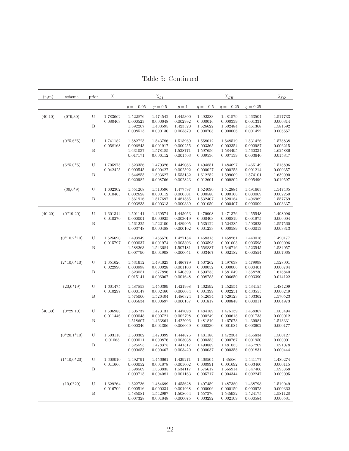<span id="page-21-0"></span>

| (n,m)   | scheme        | prior  | $\widehat{\lambda}$  |                                              | $\widehat{\lambda}_{LI}$                     |                                              |                                              | $\widehat{\lambda}_{\underline{GE}}$         |                                              | $\widehat{\lambda}_{\underline{SQ}}$         |
|---------|---------------|--------|----------------------|----------------------------------------------|----------------------------------------------|----------------------------------------------|----------------------------------------------|----------------------------------------------|----------------------------------------------|----------------------------------------------|
|         |               |        |                      | $p = -0.05$                                  | $p = 0.5$                                    | $p=1$                                        | $q = -0.5$                                   | $q = -0.25$                                  | $q = 0.25$                                   |                                              |
| (40,10) | $(0*9,30)$    | U<br>B | 1.783662<br>0.080463 | 1.522876<br>0.000523<br>1.592267<br>0.008513 | 1.474542<br>0.000648<br>1.488595<br>0.000130 | 1.445300<br>0.002992<br>1.423320<br>0.005879 | 1.492383<br>0.000016<br>1.526622<br>0.000708 | 1.481579<br>0.000339<br>1.502484<br>0.000006 | 1.463504<br>0.001331<br>1.461368<br>0.001492 | 1.517733<br>0.000314<br>1.581592<br>0.006657 |
|         | $(0*5,6*5)$   | U<br>B | 1.741182<br>0.058168 | 1.582725<br>0.006843<br>1.631037<br>0.017171 | 1.543786<br>0.001917<br>1.578185<br>0.006112 | 1.515969<br>0.000255<br>1.538771<br>0.001503 | 1.558012<br>0.003365<br>1.597656<br>0.009536 | 1.548519<br>0.002354<br>1.584495<br>0.007139 | 1.531426<br>0.000987<br>1.560334<br>0.003640 | 1.578838<br>0.006215<br>1.625886<br>0.015847 |
|         | $(6*5, 0*5)$  | U<br>B | 1.705975<br>0.042425 | 1.523356<br>0.000545<br>1.644855<br>0.020982 | 1.479326<br>0.000427<br>1.593627<br>0.008766 | 1.449086<br>0.002592<br>1.553132<br>0.002823 | 1.494851<br>0.000027<br>1.612252<br>0.012601 | 1.484097<br>0.000253<br>1.599009<br>0.009802 | 1.465149<br>0.001214<br>1.574101<br>0.005490 | 1.518896<br>0.000357<br>1.639990<br>0.019597 |
|         | $(30,0*9)$    | U<br>B | 1.602302<br>0.010465 | 1.551268<br>0.002628<br>1.561916<br>0.003833 | 1.510596<br>0.000112<br>1.517697<br>0.000313 | 1.477597<br>0.000501<br>1.481585<br>0.000339 | 1.524090<br>0.000580<br>1.532407<br>0.001050 | 1.512884<br>0.000166<br>1.520184<br>0.000407 | 1.491663<br>0.000069<br>1.496969<br>0.000009 | 1.547435<br>0.002250<br>1.557769<br>0.003337 |
| (40,20) | $(0*19,20)$   | U<br>B | 1.601344<br>0.010270 | 1.501141<br>0.000001<br>1.561225<br>0.003748 | 1.469574<br>0.000925<br>1.522100<br>0.000488 | 1.445053<br>0.003019<br>1.489905<br>0.000102 | 1.479908<br>0.000403<br>1.535122<br>0.001233 | 1.471376<br>0.000819<br>1.524285<br>0.000589 | 1.455548<br>0.001975<br>1.503623<br>0.000013 | 1.498096<br>0.000004<br>1.557560<br>0.003313 |
|         | $(0*10,2*10)$ | U<br>B | 1.625690<br>0.015797 | 1.493949<br>0.000037<br>1.588263<br>0.007790 | 1.455570<br>0.001974<br>1.543684<br>0.001908 | 1.427154<br>0.005306<br>1.507181<br>0.000051 | 1.468315<br>0.003598<br>1.558887<br>0.003467 | 1.458261<br>0.001003<br>1.546716<br>0.002182 | 1.440016<br>0.003598<br>1.523545<br>0.000554 | 1.490177<br>0.000096<br>1.584057<br>0.007065 |
|         | $(2*10,0*10)$ | U<br>B | 1.651626<br>0.022990 | 1.531612<br>0.000998<br>1.623051<br>0.015141 | 1.494623<br>0.000028<br>1.577896<br>0.006067 | 1.466779<br>0.001103<br>1.540599<br>0.001648 | 1.507262<br>0.000052<br>1.593733<br>0.008785 | 1.497638<br>0.000006<br>1.581549<br>0.006650 | 1.479998<br>0.000401<br>1.558230<br>0.003390 | 1.528001<br>0.000784<br>1.618840<br>0.014122 |
|         | $(20,0*19)$   | U<br>B | 1.601475<br>0.010297 | 1.487853<br>0.000147<br>1.575060<br>0.005634 | 1.450399<br>0.002460<br>1.526404<br>0.000697 | 1.421998<br>0.006084<br>1.486324<br>0.000187 | 1.462592<br>0.001399<br>1.542634<br>0.001817 | 1.452554<br>0.002251<br>1.529123<br>0.000848 | 1.434155<br>0.433555<br>1.503362<br>0.000011 | 1.484209<br>0.000249<br>1.570523<br>0.004973 |
| (40,30) | $(0*29,10)$   | U<br>B | 1.606988<br>0.011446 | 1.506737<br>0.000048<br>1.518607<br>0.000346 | 1.473131<br>0.000721<br>1.463861<br>0.001306 | 1.447098<br>0.002798<br>1.422096<br>0.006069 | 1.484189<br>0.000249<br>1.481819<br>0.000330 | 1.475139<br>0.000618<br>1.467073<br>0.001084 | 1.458367<br>0.001733<br>1.439981<br>0.003602 | 1.503494<br>0.000012<br>1.513331<br>0.000177 |
|         | $(0*20,1*10)$ | U<br>Β | 1.603118<br>0.01063  | 1.503302<br>0.000011<br>1.525595<br>0.000655 | 1.470399<br>0.000876<br>1.478375<br>0.000467 | 1.444875<br>0.003038<br>1.441517<br>0.003420 | 1.481186<br>0.000353<br>1.493889<br>0.000037 | 1.472304<br>0.000767<br>1.481053<br>0.000358 | 1.455834<br>0.001950<br>1.457202<br>0.001831 | 1.500127<br>0.000001<br>1.521078<br>0.000444 |
|         | $(1*10,0*20)$ | U<br>B | 1.608010<br>0.011666 | 1.492791<br>0.000052<br>1.598569<br>0.009715 | 1.456661<br>0.001878<br>1.563835<br>0.004081 | 1.429271<br>0.005002<br>1.534117<br>0.001163 | 1.468504<br>0.000991<br>1.575617<br>0.005717 | 1.45886<br>0.001692<br>1.565914<br>0.004344  | 1.441177<br>0.003460<br>1.547406<br>0.002247 | 1.489274<br>0.000115<br>1.595368<br>0.009095 |
|         | $(10,0*29)$   | U<br>B | 1.629264<br>0.016709 | 1.522736<br>0.000516<br>1.585081<br>0.007328 | 1.484699<br>0.000234<br>1.542997<br>0.001848 | 1.455628<br>0.001968<br>1.508664<br>0.000075 | 1.497459<br>0.000006<br>1.557376<br>0.003292 | 1.487380<br>0.000159<br>1.545932<br>0.002109 | 1.468798<br>0.000973<br>1.524175<br>0.000584 | 1.519049<br>0.000362<br>1.581128<br>0.006581 |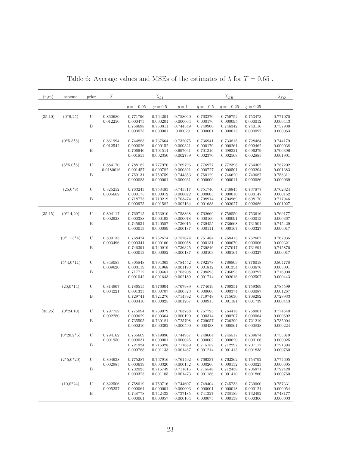| (n,m)   | scheme       | prior | $\widehat{\lambda}$   |                      | $\widehat{\lambda}_{LI}$ |                      |                      | $\widehat{\lambda}_{GE}$ |                      | $\widehat{\lambda}_{SQ}$ |
|---------|--------------|-------|-----------------------|----------------------|--------------------------|----------------------|----------------------|--------------------------|----------------------|--------------------------|
|         |              |       |                       | $p = -0.05$          | $p = 0.5$                | $p=1$                | $q = -0.5$           | $q = -0.25$              | $q = 0.25$           |                          |
| (35,10) | $(0*9,25)$   | U     | 0.860680<br>0.012250  | 0.771796<br>0.000475 | 0.764204<br>0.000201     | 0.758060<br>0.000064 | 0.763270<br>0.000176 | 0.759752<br>0.000095     | 0.753473<br>0.000012 | 0.771070<br>0.000443     |
|         |              | B     |                       | 0.758698<br>0.000075 | 0.750811<br>0.000001     | 0.744549<br>0.00029  | 0.749900<br>0.000001 | 0.746342<br>0.000013     | 0.740116<br>0.000097 | 0.757938<br>0.000063     |
|         | $(0*5, 5*5)$ | U     | 0.861994<br>0.012542  | 0.744883<br>0.000026 | 0.737664<br>0.000152     | 0.732075<br>0.000321 | 0.736941<br>0.000170 | 0.733815<br>0.000261     | 0.728484<br>0.000462 | 0.744179<br>0.000038     |
|         |              | Β     |                       | 0.706946<br>0.001853 | 0.701514<br>0.002350     | 0.697661<br>0.002739 | 0.701316<br>0.002370 | 0.699321<br>0.002568     | 0.696279<br>0.002885 | 0.706396<br>0.001901     |
|         | $(5*5,0*5)$  | U     | 0.884170<br>0.0180016 | 0.788182<br>0.001457 | 0.777970<br>0.000782     | 0.769796<br>0.000391 | 0.776977<br>0.000727 | 0.772398<br>0.000501     | 0.764302<br>0.000204 | 0.787202<br>0.001383     |
|         |              | Β     |                       | 0.759131<br>0.000083 | 0.750759<br>0.000001     | 0.744353<br>0.000031 | 0.750129<br>0.000000 | 0.746620<br>0.000011     | 0.740687<br>0.000086 | 0.758311<br>0.000069     |
|         | $(25,0^*9)$  | U     | 0.825252<br>0.005662  | 0.763243<br>0.000175 | 0.753483<br>0.000012     | 0.745317<br>0.000022 | 0.751746<br>0.000003 | 0.746845<br>0.000010     | 0.737877<br>0.000147 | 0.762324<br>0.000152     |
|         |              | B     |                       | 0.718773<br>0.000975 | 0.710219<br>0.001582     | 0.703474<br>0.002164 | 0.708914<br>0.001688 | 0.704969<br>0.002027     | 0.698170<br>0.002686 | 0.717946<br>0.001027     |
| (35,15) | $(0*14,20)$  | U     | 0.804117<br>0.002928  | 0.769715<br>0.000388 | 0.763910<br>0.000193     | 0.758868<br>0.000078 | 0.762669<br>0.000160 | 0.759550<br>0.000091     | 0.753616<br>0.000013 | 0.769177<br>0.000367     |
|         |              | Β     |                       | 0.745934<br>0.000013 | 0.740557<br>0.000089     | 0.736015<br>0.000187 | 0.739455<br>0.000111 | 0.736668<br>0.000167     | 0.731504<br>0.000327 | 0.745429<br>0.000017     |
|         | $(0*11,5*4)$ | U     | 0.809133<br>0.003496  | 0.768474<br>0.000341 | 0.762674<br>0.000160     | 0.757674<br>0.000058 | 0.761484<br>0.000131 | 0.758413<br>0.000070     | 0.752607<br>0.000006 | 0.767935<br>0.000321     |
|         |              | B     |                       | 0.746391<br>0.000013 | 0.740919<br>0.000082     | 0.736325<br>0.000187 | 0.739846<br>0.000103 | 0.737047<br>0.000167     | 0.731891<br>0.000327 | 0.745876<br>0.000017     |
|         | $(5*4,0*11)$ | U     | 0.848083<br>0.009620  | 0.805848<br>0.003119 | 0.794363<br>0.001968     | 0.784552<br>0.001193 | 0.792578<br>0.001812 | 0.786803<br>0.001354     | 0.776018<br>0.000676 | 0.804778<br>0.003001     |
|         |              | B     |                       | 0.717712<br>0.001042 | 0.709461<br>0.001643     | 0.703208<br>0.002189 | 0.708593<br>0.001714 | 0.705093<br>0.002016     | 0.699297<br>0.002507 | 0.716900<br>0.000443     |
|         | $(20,0*14)$  | U     | 0.814967<br>0.004221  | 0.786515<br>0.001333 | 0.776604<br>0.000707     | 0.767989<br>0.000323 | 0.774619<br>0.000606 | 0.769351<br>0.000374     | 0.759369<br>0.000087 | 0.785599<br>0.001267     |
|         |              | B     |                       | 0.729741<br>0.000410 | 0.721276<br>0.000825     | 0.714392<br>0.001267 | 0.719748<br>0.000915 | 0.715630<br>0.001181     | 0.708292<br>0.001739 | 0.728933<br>0.000443     |
| (35,25) | $(0*24,10)$  | U     | 0.797752<br>0.002280  | 0.775094<br>0.000629 | 0.769079<br>0.000364     | 0.763788<br>0.000190 | 0.767723<br>0.000314 | 0.764418<br>0.000207     | 0.758061<br>0.000064 | 0.774540<br>0.000602     |
|         |              | B     |                       | 0.735505<br>0.000210 | 0.730181<br>0.000392     | 0.725708<br>0.000590 | 0.729057<br>0.000438 | 0.726299<br>0.000561     | 0.721219<br>0.000828 | 0.735004<br>0.000224     |
|         | $(0*20,2*5)$ | U     | 0.794162<br>0.001950  | 0.755609<br>0.000031 | 0.749896<br>0.000001     | 0.744957<br>0.000025 | 0.748604<br>0.000002 | 0.745517<br>0.000020     | 0.739674<br>0.000106 | 0.755079<br>0.000025     |
|         |              | Β     |                       | 0.721924<br>0.000788 | 0.716328<br>0.001133     | 0.711689<br>0.001467 | 0.715152<br>0.001214 | 0.712297<br>0.001413     | 0.707117<br>0.001838 | 0.721394<br>0.000760     |
|         | $(2*5,0*20)$ | U     | 0.804638<br>0.002985  | 0.775287<br>0.000639 | 0.767916<br>0.000320     | 0.761492<br>0.000132 | 0.766337<br>0.000266 | 0.762362<br>0.000152     | 0.754792<br>0.000023 | 0.774605<br>0.000605     |
|         |              | B     |                       | 0.732025<br>0.000323 | 0.716749<br>0.001105     | 0.711615<br>0.001473 | 0.715548<br>0.001186 | 0.712438<br>0.001410     | 0.706871<br>0.001860 | 0.722428<br>0.000760     |
|         | $(10,0*24)$  | U     | 0.822506<br>0.005257  | 0.758019<br>0.000064 | 0.750716<br>0.000001     | 0.744607<br>0.000003 | 0.749404<br>0.000001 | 0.745733<br>0.000018     | 0.739000<br>0.000121 | 0.757331<br>0.000054     |
|         |              | Β     |                       | 0.748778<br>0.000001 | 0.742433<br>0.000057     | 0.737185<br>0.000164 | 0.741327<br>0.000075 | 0.738189<br>0.000139     | 0.732492<br>0.000306 | 0.748177<br>0.000003     |

Table 6: Average values and MSEs of the estimates of  $\lambda$  for  $T=0.65$  .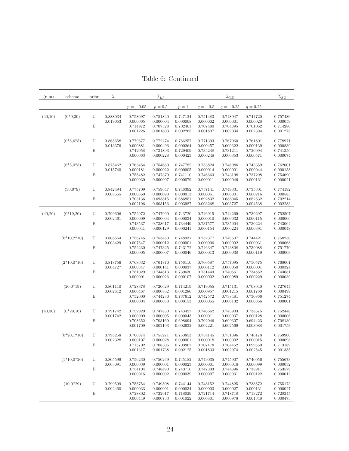| Table 6: Continued |  |  |  |
|--------------------|--|--|--|
|--------------------|--|--|--|

<span id="page-23-0"></span>

| (n,m)   | scheme        | prior  | $\widehat{\lambda}$  |                                              | $\widehat{\lambda}_{LI}$                     |                                              |                                              | $\widehat{\lambda}_{\underline{GE}}$         |                                              | $\widehat{\lambda}_{\underline{SQ}}$         |
|---------|---------------|--------|----------------------|----------------------------------------------|----------------------------------------------|----------------------------------------------|----------------------------------------------|----------------------------------------------|----------------------------------------------|----------------------------------------------|
|         |               |        |                      | $p = -0.05$                                  | $p = 0.5$                                    | $p=1$                                        | $q = -0.5$                                   | $q = -0.25$                                  | $q = 0.25$                                   |                                              |
| (40,10) | $(0*9,30)$    | U<br>B | 0.888034<br>0.019053 | 0.758097<br>0.000065<br>0.714972             | 0.751840<br>0.000004<br>0.707528             | 0.747124<br>0.000008<br>0.702401             | 0.751483<br>0.000002<br>0.707480             | 0.748947<br>0.000001<br>0.704895             | 0.744720<br>0.000028<br>0.701062             | 0.757480<br>0.000059<br>0.714280             |
|         | $(0*5,6*5)$   | U      | 0.865658             | 0.001226<br>0.779677                         | 0.001803<br>0.772274                         | 0.002265<br>0.766257                         | 0.001807<br>0.771393                         | 0.002034<br>0.767960                         | 0.002394<br>0.761801                         | 0.001275<br>0.778971                         |
|         |               | B      | 0.013376             | 0.000881<br>0.742058<br>0.000063             | 0.000496<br>0.734893<br>0.000228             | 0.000264<br>0.729409<br>0.000423             | 0.000457<br>0.734248<br>0.000248             | 0.000322<br>0.731211<br>0.000353             | 0.000139<br>0.726094<br>0.000571             | 0.000839<br>0.741356<br>0.000074             |
|         | $(6*5, 0*5)$  | U      | 0.875462<br>0.015740 | 0.763454<br>0.000181                         | 0.754660<br>0.000022                         | 0.747782<br>0.000005                         | 0.753824<br>0.000014                         | 0.748986<br>0.000001                         | 0.743359<br>0.000044                         | 0.762601<br>0.000158                         |
|         |               | B      |                      | 0.755482<br>0.000030                         | 0.747370<br>0.000007                         | 0.741110<br>0.000079                         | 0.746663<br>0.000011                         | 0.743198<br>0.000046                         | 0.737298<br>0.000161                         | 0.754690<br>0.000021                         |
|         | $(30,0*9)$    | U<br>B | 0.842494<br>0.008555 | 0.775709<br>0.000660<br>0.703136             | 0.759647<br>0.000093<br>0.693815             | 0.746392<br>0.000013<br>0.686851             | 0.757141<br>0.000051<br>0.692832             | 0.749331<br>0.000001<br>0.688945             | 0.735301<br>0.000216<br>0.682632             | 0.774192<br>0.000585<br>0.702214             |
|         |               |        |                      | 0.002196                                     | 0.003156                                     | 0.003987                                     | 0.003268                                     | 0.003727                                     | 0.004538                                     | 0.002283                                     |
| (40,20) | $(0*19,20)$   | U<br>B | 0.799606<br>0.002461 | 0.752972<br>0.000009<br>0.743537             | 0.747990<br>0.000004<br>0.738617             | 0.743720<br>0.000034<br>0.734449             | 0.746915<br>0.000010<br>0.737577             | 0.744269<br>0.000032<br>0.735004             | 0.739297<br>0.000115<br>0.730224             | 0.752507<br>0.000006<br>0.743064             |
|         |               |        |                      | 0.000041                                     | 0.000129                                     | 0.000241                                     | 0.000154                                     | 0.000224                                     | 0.000391                                     | 0.000048                                     |
|         | $(0*10,2*10)$ | U<br>B | 0.808564<br>0.003429 | 0.758745<br>0.007647<br>0.752230             | 0.753450<br>0.000012<br>0.747325             | 0.748931<br>0.000001<br>0.743172             | 0.752377<br>0.000006<br>0.746347             | 0.749607<br>0.000002<br>0.743808             | 0.744421<br>0.000031<br>0.739088             | 0.758250<br>0.000068<br>0.751770             |
|         |               |        |                      | 0.000005                                     | 0.000007                                     | 0.000046                                     | 0.000013                                     | 0.000038                                     | 0.000119                                     | 0.000003                                     |
|         | $(2*10,0*10)$ | U<br>B | 0.818756<br>0.004727 | 0.768632<br>0.000347<br>0.751029             | 0.761870<br>0.000141<br>0.744813             | 0.756110<br>0.000037<br>0.739630             | 0.760587<br>0.000112<br>0.751443             | 0.757095<br>0.000050<br>0.740561             | 0.750575<br>0.000001<br>0.734852             | 0.768001<br>0.000324<br>0.743681             |
|         |               |        |                      | 0.000001                                     | 0.000026                                     | 0.000107                                     | 0.000002                                     | 0.000089                                     | 0.000229                                     | 0.000039                                     |
|         | $(20,0*19)$   | U<br>B | 0.801110<br>0.002612 | 0.728378<br>0.000467<br>0.752000             | 0.720629<br>0.000862<br>0.744230             | 0.714219<br>0.001280<br>0.737612             | 0.719055<br>0.000957<br>0.742572             | 0.715131<br>0.001215<br>0.738481             | 0.708040<br>0.001760<br>0.730866             | 0.727644<br>0.000499<br>0.751274             |
|         |               |        |                      | 0.000004                                     | 0.000033                                     | 0.000153                                     | 0.000055                                     | 0.000132                                     | 0.000366                                     | 0.000001                                     |
| (40,30) | $(0*29,10)$   | U<br>B | 0.791742<br>0.001742 | 0.752920<br>0.000009<br>0.708652<br>0.001709 | 0.747830<br>0.000005<br>0.703169<br>0.002193 | 0.743427<br>0.000043<br>0.698694<br>0.002632 | 0.746662<br>0.000011<br>0.702046<br>0.002221 | 0.743903<br>0.000037<br>0.699307<br>0.002569 | 0.738675<br>0.000128<br>0.694423<br>0.003088 | 0.752448<br>0.000006<br>0.708130<br>0.001753 |
|         | $(0*20,1*10)$ | U      | 0.798258<br>0.002328 | 0.760374<br>0.000107                         | 0.755271<br>0.000028                         | 0.750853<br>0.000001                         | 0.754145<br>0.000018                         | 0.751396<br>0.000002                         | 0.746178<br>0.000015                         | 0.759900<br>0.000098                         |
|         |               | В      |                      | 0.713702<br>0.001317                         | 0.708305<br>0.001738                         | 0.703867<br>0.002125                         | 0.707178<br>0.001833                         | 0.704452<br>0.002074                         | 0.699550<br>0.002545                         | 0.713189<br>0.001355                         |
|         | $(1*10,0*20)$ | U      | 0.805599<br>0.003091 | 0.756230<br>0.000039                         | 0.750269<br>0.000001                         | 0.745182<br>0.000023                         | 0.749035<br>0.000001                         | 0.745907<br>0.000016                         | 0.740056<br>0.000099                         | 0.755673<br>0.000032                         |
|         |               | B      |                      | 0.754104<br>0.000016                         | 0.748490<br>0.000002                         | 0.743710<br>0.000039                         | 0.747333<br>0.000007                         | 0.744396<br>0.000031                         | 0.738911<br>0.000122                         | 0.753579<br>0.000012                         |
|         | $(10,0*29)$   | U<br>B | 0.799599<br>0.002460 | 0.755754<br>0.000033<br>0.728802             | 0.749508<br>0.000001<br>0.722917             | 0.744144<br>0.000034<br>0.718029             | 0.748152<br>0.000003<br>0.721714             | 0.744825<br>0.000027<br>0.718718             | 0.738572<br>0.000131<br>0.713272             | 0.755173<br>0.000027<br>0.728245             |
|         |               |        |                      | 0.000449                                     | 0.000733                                     | 0.001022                                     | 0.000801                                     | 0.000978                                     | 0.001348                                     | 0.000473                                     |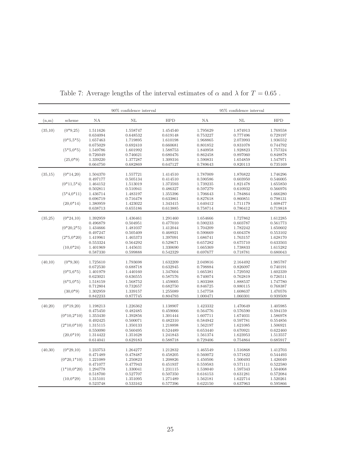|         |               |                      | 90% confidence interval |                      |                      | 95% confidence interval |                      |  |  |
|---------|---------------|----------------------|-------------------------|----------------------|----------------------|-------------------------|----------------------|--|--|
| (n,m)   | scheme        | ΝA                   | ΝL                      | <b>HPD</b>           | ΝA                   | NL                      | <b>HPD</b>           |  |  |
| (35,10) | $(0*9,25)$    | 1.511626             | 1.558747                | 1.454540             | 1.795629             | 1.874913                | 1.769558             |  |  |
|         | $(0*5, 5*5)$  | 0.634094<br>1.657463 | 0.648532<br>1.719895    | 0.619148<br>1.610198 | 0.753227<br>1.968865 | 0.777496<br>2.073993    | 0.729197<br>1.936552 |  |  |
|         |               | 0.675029             | 0.692410                | 0.660681             | 0.801852             | 0.831078                | 0.744792             |  |  |
|         | $(5*5,0*5)$   | 1.549786             | 1.601992                | 1.588753             | 1.840958             | 1.928823                | 1.757324             |  |  |
|         |               | 0.726049             | 0.746621                | 0.680476             | 0.862458             | 0.897060                | 0.848878             |  |  |
|         | $(25,0*9)$    | 1.339220             | 1.377287                | 1.309316             | 1.590831             | 1.654859                | 1.547971             |  |  |
|         |               | 0.664750             | 0.682869                | 0.647127             | 0.789643             | 0.820113                | 0.735169             |  |  |
| (35,15) | $(0*14,20)$   | 1.504370             | 1.557721                | 1.414510             | 1.787009             | 1.876822                | 1.746296             |  |  |
|         |               | 0.497177             | 0.505134                | 0.414510             | 0.590586             | 0.603950                | 0.546005             |  |  |
|         | $(0*11,5*4)$  | 1.464152             | 1.513019                | 1.373593             | 1.739235             | 1.821478                | 1.655850             |  |  |
|         |               | 0.502811             | 0.510941                | 0.486327             | 0.597279             | 0.610932                | 0.566976             |  |  |
|         | $(5*4,0*11)$  | 1.436714             | 1.483197                | 1.355396             | 1.706643             | 1.784864                | 1.666280             |  |  |
|         |               | 0.696719             | 0.716478                | 0.633861             | 0.827618             | 0.860851                | 0.798131             |  |  |
|         | $(20,0*14)$   | 1.380959             | 1.423022                | 1.343415             | 1.640412             | 1.711179                | 1.608477             |  |  |
|         |               | 0.638713             | 0.655186                | 0.613885             | 0.758714             | 0.786412                | 0.719818             |  |  |
| (35,25) | $(0*24,10)$   | 1.392959             | 1.436461                | 1.291460             | 1.654666             | 1.727862                | 1.612285             |  |  |
|         |               | 0.496879             | 0.504951                | 0.477010             | 0.590233             | 0.603787                | 0.561773             |  |  |
|         | $(0*20,2*5)$  | 1.434666             | 1.481037                | 1.412044             | 1.704209             | 1.782242                | 1.650602             |  |  |
|         |               | 0.497247             | 0.505409                | 0.468921             | 0.590669             | 0.604378                | 0.553102             |  |  |
|         | $(2*5,0*20)$  | 1.419961             | 1.465373                | 1.397091             | 1.686741             | 1.763157                | 1.628170             |  |  |
|         |               | 0.553324             | 0.564292                | 0.529671             | 0.657282             | 0.675710                | 0.633503             |  |  |
|         | $(10,0*24)$   | 1.401969             | 1.445631                | 1.330690             | 1.665369             | 1.738833                | 1.615282             |  |  |
|         |               | 0.587330             | 0.599888                | 0.542329             | 0.697677             | 0.718781                | 0.680043             |  |  |
| (40,10) | $(0*9,30)$    | 1.725610             | 1.793698                | 1.632209             | 2.049816             | 2.164492                | 1.985787             |  |  |
|         |               | 0.672530             | 0.688718                | 0.632945             | 0.798884             | 0.826097                | 0.740191             |  |  |
|         | $(0*5,6*5)$   | 1.401979             | 1.440160                | 1.347604             | 1.665381             | 1.729592                | 1.602339             |  |  |
|         |               | 0.623021             | 0.636555                | 0.587576             | 0.740074             | 0.762819                | 0.726511             |  |  |
|         | $(6*5, 0*5)$  | 1.518159             | 1.568752                | 1.459005             | 1.803388             | 1.888537                | 1.747780             |  |  |
|         |               | 0.712804             | 0.732657                | 0.682750             | 0.846725             | 0.880115                | 0.768387             |  |  |
|         | $(30,0*9)$    | 1.302959             | 1.339157                | 1.255089             | 1.547758             | 1.608637                | 1.470576             |  |  |
|         |               | 0.842233             | 0.877745                | 0.804793             | 1.000471             | 1.060301                | 0.939509             |  |  |
| (40,20) | $(0*19,20)$   | 1.198213             | 1.226362                | 1.138907             | 1.423332             | 1.470649                | 1.405985             |  |  |
|         |               | 0.475450             | 0.482485                | 0.459066             | 0.564776             | 0.576590                | 0.594159             |  |  |
|         | $(0*10,2*10)$ | 1.353430             | 1.392856                | 1.301444             | 1.607711             | 1.674031                | 1.586978             |  |  |
|         |               | 0.492425             | 0.500071                | 0.482310             | 0.584942             | 0.597781                | 0.554856             |  |  |
|         | $(2*10,0*10)$ | 1.315115             | 1.350133                | 1.218898             | 1.562197             | 1.621085                | 1.506921             |  |  |
|         |               | 0.550090             | 0.560495                | 0.524489             | 0.653440             | 0.670921                | 0.622460             |  |  |
|         | $(20,0*19)$   | 1.314422             | 1.351628                | 1.241843             | 1.561374             | 1.623953                | 1.513557             |  |  |
|         |               | 0.614041             | 0.629183                | 0.588718             | 0.729406             | 0.754864                | 0.685917             |  |  |
| (40,30) | $(0*29,10)$   | 1.233753             | 1.264277                | 1.212832             | 1.465549             | 1.516868                | 1.412703             |  |  |
|         |               | 0.471489             | 0.478487                | 0.458205             | 0.560072             | 0.571822                | 0.544493             |  |  |
|         | $(0*20,1*10)$ | 1.221089             | 1.250823                | 1.208826             | 1.450506             | 1.500493                | 1.426049             |  |  |
|         |               | 0.471077             | 0.477943                | 0.451937             | 0.559583             | 0.571111                | 0.522580             |  |  |
|         | $(1*10.0*20)$ | 1.294778             | 1.330041                | 1.231115             | 1.538040             | 1.597343                | 1.504068             |  |  |
|         |               | 0.518700             | 0.527707                | 0.507350             | 0.616153             | 0.631281                | 0.572084             |  |  |
|         | $(10,0*29)$   | 1.315101             | 1.351095                | 1.271489             | 1.562181             | 1.622714                | 1.520261             |  |  |
|         |               | 0.523748             | 0.533162                | 0.577396             | 0.622150             | 0.637963                | 0.595866             |  |  |

<span id="page-24-0"></span>Table 7: Average lengths of the interval estimates of  $\alpha$  and  $\lambda$  for  $T=0.65$  .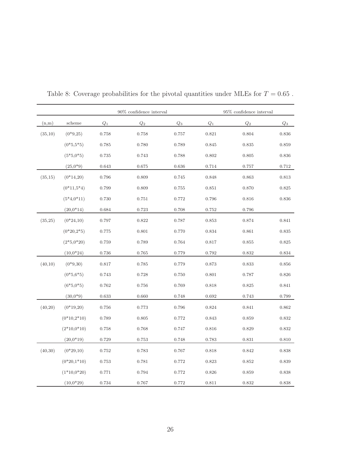|         |               |                 | 90% confidence interval |                |                 | 95% confidence interval |                 |
|---------|---------------|-----------------|-------------------------|----------------|-----------------|-------------------------|-----------------|
| (n,m)   | scheme        | $\mathcal{Q}_1$ | $\mathbb{Q}_2$          | $\mathbb{Q}_3$ | $\mathcal{Q}_1$ | $\mathcal{Q}_2$         | $\mathcal{Q}_3$ |
| (35,10) | $(0*9,25)$    | 0.758           | 0.758                   | 0.757          | 0.821           | 0.804                   | 0.836           |
|         | $(0*5,5*5)$   | 0.785           | 0.780                   | 0.789          | 0.845           | 0.835                   | 0.859           |
|         | $(5*5,0*5)$   | 0.735           | 0.743                   | 0.788          | 0.802           | 0.805                   | 0.836           |
|         | $(25,0^*9)$   | 0.643           | 0.675                   | 0.636          | 0.714           | 0.757                   | $0.712\,$       |
| (35,15) | $(0*14,20)$   | 0.796           | 0.809                   | 0.745          | 0.848           | 0.863                   | 0.813           |
|         | $(0*11,5*4)$  | 0.799           | 0.809                   | 0.755          | 0.851           | 0.870                   | 0.825           |
|         | $(5*4,0*11)$  | 0.730           | 0.751                   | 0.772          | 0.796           | 0.816                   | 0.836           |
|         | $(20,0*14)$   | 0.684           | 0.723                   | 0.708          | 0.752           | 0.796                   |                 |
| (35,25) | $(0*24,10)$   | 0.797           | 0.822                   | 0.787          | 0.853           | 0.874                   | 0.841           |
|         | $(0*20,2*5)$  | 0.775           | 0.801                   | 0.770          | 0.834           | 0.861                   | 0.835           |
|         | $(2*5,0*20)$  | 0.759           | 0.789                   | 0.764          | 0.817           | 0.855                   | 0.825           |
|         | $(10,0*24)$   | 0.736           | 0.765                   | 0.779          | 0.792           | 0.832                   | 0.834           |
| (40,10) | $(0*9, 30)$   | $0.817\,$       | 0.785                   | 0.779          | 0.873           | 0.833                   | 0.856           |
|         | $(0*5,6*5)$   | 0.743           | 0.728                   | 0.750          | 0.801           | 0.787                   | 0.826           |
|         | $(6*5, 0*5)$  | 0.762           | 0.756                   | 0.769          | 0.818           | 0.825                   | 0.841           |
|         | $(30,0*9)$    | 0.633           | 0.660                   | 0.748          | 0.692           | 0.743                   | 0.799           |
| (40,20) | $(0*19,20)$   | 0.756           | 0.773                   | 0.796          | 0.824           | 0.841                   | 0.862           |
|         | $(0*10,2*10)$ | 0.789           | 0.805                   | 0.772          | 0.843           | 0.859                   | 0.832           |
|         | $(2*10,0*10)$ | 0.758           | 0.768                   | 0.747          | 0.816           | 0.829                   | 0.832           |
|         | $(20,0*19)$   | 0.729           | 0.753                   | 0.748          | 0.783           | 0.831                   | 0.810           |
| (40,30) | $(0*29,10)$   | 0.752           | 0.783                   | 0.767          | 0.818           | 0.842                   | 0.838           |
|         | $(0*20,1*10)$ | 0.753           | 0.781                   | 0.772          | 0.823           | 0.852                   | 0.839           |
|         | $(1*10,0*20)$ | 0.771           | 0.794                   | 0.772          | 0.826           | 0.859                   | 0.838           |
|         | $(10,0*29)$   | 0.734           | 0.767                   | 0.772          | 0.811           | 0.832                   | 0.838           |

<span id="page-25-0"></span>Table 8: Coverage probabilities for the pivotal quantities under MLEs for  $T=0.65$  .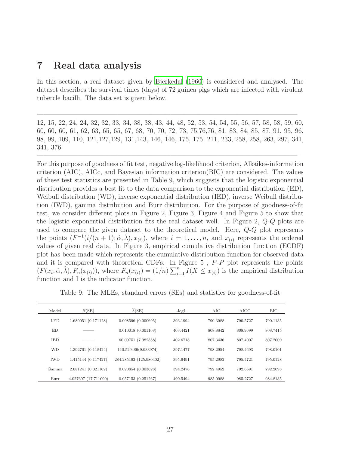### 7 Real data analysis

In this section, a real dataset given by [Bjerkedal \(1960\)](#page-32-6) is considered and analysed. The dataset describes the survival times (days) of 72 guinea pigs which are infected with virulent tubercle bacilli. The data set is given below.

12, 15, 22, 24, 24, 32, 32, 33, 34, 38, 38, 43, 44, 48, 52, 53, 54, 54, 55, 56, 57, 58, 58, 59, 60, 60, 60, 60, 61, 62, 63, 65, 65, 67, 68, 70, 70, 72, 73, 75,76,76, 81, 83, 84, 85, 87, 91, 95, 96, 98, 99, 109, 110, 121,127,129, 131,143, 146, 146, 175, 175, 211, 233, 258, 258, 263, 297, 341, 341, 376

 $\overline{\phantom{a}}$  , and the contract of the contract of the contract of the contract of the contract of the contract of the contract of the contract of the contract of the contract of the contract of the contract of the contrac

 $\frac{1}{2}$  , and the contribution of the contribution of  $\frac{1}{2}$  ,  $\frac{1}{2}$  ,  $\frac{1}{2}$  ,  $\frac{1}{2}$  ,  $\frac{1}{2}$  ,  $\frac{1}{2}$  ,  $\frac{1}{2}$  ,  $\frac{1}{2}$  ,  $\frac{1}{2}$  ,  $\frac{1}{2}$  ,  $\frac{1}{2}$  ,  $\frac{1}{2}$  ,  $\frac{1}{2}$  ,  $\frac{1}{2}$ 

For this purpose of goodness of fit test, negative log-likelihood criterion, Alkaikes-information criterion (AIC), AICc, and Bayesian information criterion(BIC) are considered. The values of these test statistics are presented in Table 9, which suggests that the logistic exponential distribution provides a best fit to the data comparison to the exponential distribution (ED), Weibull distribution (WD), inverse exponential distribution (IED), inverse Weibull distribution (IWD), gamma distribution and Burr distribution. For the purpose of goodness-of-fit test, we consider different plots in Figure 2, Figure 3, Figure 4 and Figure 5 to show that the logistic exponential distribution fits the real dataset well. In Figure 2, Q-Q plots are used to compare the given dataset to the theoretical model. Here, Q-Q plot represents the points  $(F^{-1}(i/(n+1); \hat{\alpha}, \hat{\lambda}), x_{(i)})$ , where  $i = 1, \ldots, n$ , and  $x_{(i)}$  represents the ordered values of given real data. In Figure 3, empirical cumulative distribution function (ECDF) plot has been made which represents the cumulative distribution function for observed data and it is compared with theoretical CDFs. In Figure 5, P-P plot represents the points  $(F(x_i; \hat{\alpha}, \hat{\lambda}), F_n(x_{(i)}))$ , where  $F_n(x_{(i)}) = (1/n) \sum_{i=1}^n I(X \leq x_{(i)})$  is the empirical distribution function and I is the indicator function.

Table 9: The MLEs, standard errors (SEs) and statistics for goodness-of-fit

| Model                       | $\widehat{\alpha}$ (SE)                                            | $\widehat{\lambda}$ (SE)                                            | $-logL$                          | AIC                              | AICC                             | BIC      |
|-----------------------------|--------------------------------------------------------------------|---------------------------------------------------------------------|----------------------------------|----------------------------------|----------------------------------|----------|
| <b>LED</b>                  | 1.680051 (0.171128)                                                | 0.008596(0.000695)                                                  | 393.1994                         | 790.3988                         | 790.5727                         | 790.1135 |
| ED                          |                                                                    | 0.010018(0.001168)                                                  | 403.4421                         | 808.8842                         | 808.9699                         | 808.7415 |
| <b>IED</b>                  |                                                                    | 60.09751 (7.082558)                                                 | 402.6718                         | 807.3436                         | 807.4007                         | 807.2009 |
| <b>WD</b>                   | 1.392761 (0.118424)                                                | 110.529489(9.933974)                                                | 397.1477                         | 798.2954                         | 798.4693                         | 798.0101 |
|                             |                                                                    |                                                                     |                                  |                                  |                                  | 795.0128 |
|                             |                                                                    |                                                                     |                                  |                                  |                                  | 792.2098 |
|                             |                                                                    |                                                                     |                                  |                                  |                                  | 984.8135 |
| <b>IWD</b><br>Gamma<br>Burr | 1.415144 (0.117427)<br>2.081241 (0.321162)<br>4.027607 (17.711090) | 284.285192 (125.980402)<br>0.020854(0.003628)<br>0.057153(0.251267) | 395.6491<br>394.2476<br>490.5494 | 795.2982<br>792.4952<br>985.0988 | 795.4721<br>792.6691<br>985.2727 |          |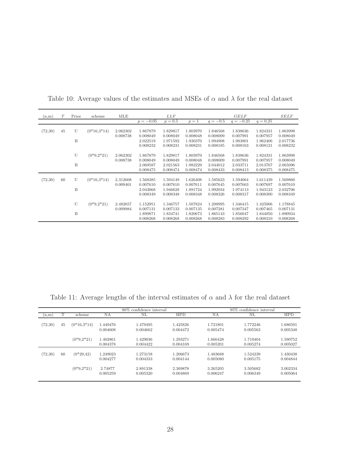| (n,m)   | T  | Prior | scheme        | MLE                  |                                  | LLF                              |                                  |                                  | <b>GELF</b>                      |                                  | <b>SELF</b>                      |
|---------|----|-------|---------------|----------------------|----------------------------------|----------------------------------|----------------------------------|----------------------------------|----------------------------------|----------------------------------|----------------------------------|
|         |    |       |               |                      | $p = -0.05$                      | $p = 0.5$                        | $p=1$                            | $q = -0.5$                       | $q = -0.25$                      | $q = 0.25$                       |                                  |
| (72,30) | 45 | U     | $(0*16,3*14)$ | 2.062302             | 1.867879                         | 1.829817                         | 1.803970                         | 1.846568                         | 1.838636                         | 1.824331                         | 1.863998                         |
|         |    | B     |               | 0.008738             | 0.008049<br>2.022519<br>0.008232 | 0.008049<br>1.971592<br>0.008231 | 0.008048<br>1.930370<br>0.008231 | 0.008009<br>1.994908<br>0.008185 | 0.007991<br>1.983801<br>0.008163 | 0.007957<br>1.962406<br>0.008121 | 0.008049<br>2.017736<br>0.008232 |
|         |    | U     | $(0*9,2*21)$  | 2.062302<br>0.008738 | 1.867879<br>0.008049             | 1.829817<br>0.008049             | 1.803970<br>0.008048             | 1.846568<br>0.008009             | 1.838636<br>0.007991             | 1.824331<br>0.007957             | 1.863998<br>0.008049             |
|         |    | B     |               |                      | 2.069587<br>0.008475             | 2.021563<br>0.008474             | 1.982229<br>0.008474             | 2.044012<br>0.008433             | 2.033711<br>0.008413             | 2.013767<br>0.008375             | 2.065096<br>0.008475             |
| (72,30) | 60 | U     | $(0*16,3*14)$ | 2.312608<br>0.009401 | 1.568385<br>0.007610             | 1.594149<br>0.007610             | 1.626408<br>0.007611             | 1.585623<br>0.007645             | 1.594064<br>0.007663             | 1.611439<br>0.007697             | 1.569860<br>0.007610             |
|         |    | B     |               |                      | 2.043068<br>0.008349             | 1.946628<br>0.008348             | 1.891724<br>0.008348             | 1.992034<br>0.008326             | 1.974113<br>0.008317             | 1.943123<br>0.008300             | 2.032706<br>0.008349             |
|         |    | U     | $(0*9,2*21)$  | 2.482657<br>0.009984 | 1.152951<br>0.007131             | 1.346757<br>0.007133             | 1.507824<br>0.007135             | 1.298995<br>0.007281             | 1.346415<br>0.007347             | 1.425006<br>0.007465             | 1.178845<br>0.007131             |
|         |    | B     |               |                      | 1.899871<br>0.008268             | 1.834741<br>0.008268             | 1.820673<br>0.008268             | 1.865143<br>0.008283             | 1.856047<br>0.008292             | 1.844050<br>0.008310             | 1.890934<br>0.008268             |

Table 10: Average values of the estimates and MSEs of  $\alpha$  and  $\lambda$  for the real dataset

Table 11: Average lengths of the interval estimates of  $\alpha$  and  $\lambda$  for the real dataset

|         |    |               |                      | 95% confidence interval<br>90\% confidence interval |                      |                      |                      |                      |
|---------|----|---------------|----------------------|-----------------------------------------------------|----------------------|----------------------|----------------------|----------------------|
| (n,m)   |    | scheme        | NA                   | NL                                                  | <b>HPD</b>           | NA                   | NL                   | <b>HPD</b>           |
| (72,30) | 45 | $(0*16.3*14)$ | 1.449476<br>0.004608 | 1.479495<br>0.004662                                | 1.425826<br>0.004472 | 1.721801<br>0.005474 | 1.772246<br>0.005563 | 1.686591<br>0.005348 |
|         |    | $(0*9,2*21)$  | 1.402861<br>0.004378 | 1.429036<br>0.004422                                | 1.293271<br>0.004169 | 1.666428<br>0.005201 | 1.710404<br>0.005274 | 1.590752<br>0.005027 |
| (72,30) | 60 | $(0*29, 42)$  | 1.249023<br>0.004277 | 1.273158<br>0.004333                                | 1.206673<br>0.004144 | 1.483688<br>0.005080 | 1.524239<br>0.005175 | 1.430438<br>0.004844 |
|         |    | $(0*9,2*21)$  | 2.74877<br>0.005259  | 2.891338<br>0.005320                                | 2.369878<br>0.004869 | 3.265205<br>0.006247 | 3.505682<br>0.006349 | 3.002334<br>0.005064 |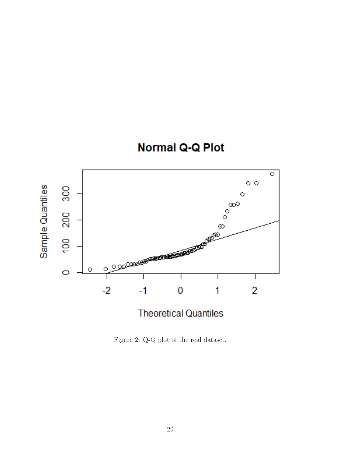



Figure 2: Q-Q plot of the real dataset.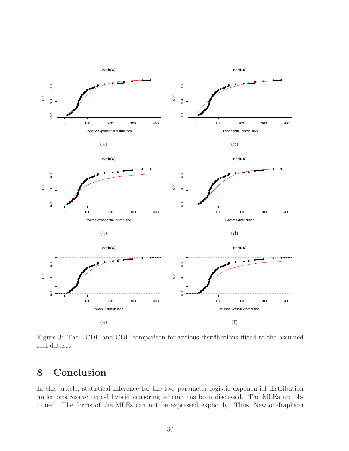

Figure 3: The ECDF and CDF comparison for various distributions fitted to the assumed real dataset.

# 8 Conclusion

In this article, statistical inference for the two parameter logistic exponential distribution under progressive type-I hybrid censoring scheme has been discussed. The MLEs are obtained. The forms of the MLEs can not be expressed explicitly. Thus, Newton-Raphson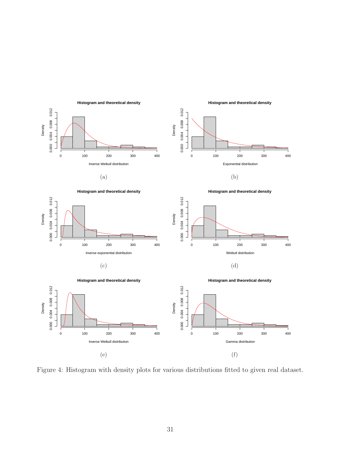

Figure 4: Histogram with density plots for various distributions fitted to given real dataset.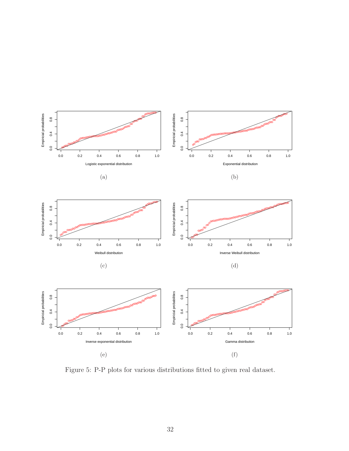

Figure 5: P-P plots for various distributions fitted to given real dataset.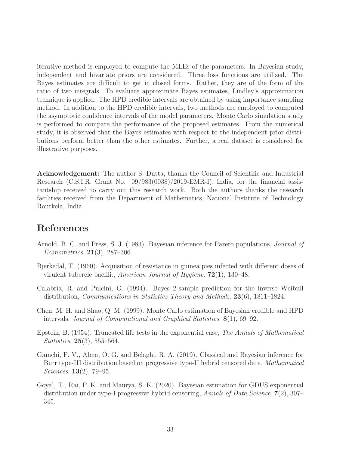iterative method is employed to compute the MLEs of the parameters. In Bayesian study, independent and bivariate priors are considered. Three loss functions are utilized. The Bayes estimates are difficult to get in closed forms. Rather, they are of the form of the ratio of two integrals. To evaluate approximate Bayes estimates, Lindley's approximation technique is applied. The HPD credible intervals are obtained by using importance sampling method. In addition to the HPD credible intervals, two methods are employed to computed the asymptotic confidence intervals of the model parameters. Monte Carlo simulation study is performed to compare the performance of the proposed estimates. From the numerical study, it is observed that the Bayes estimates with respect to the independent prior distributions perform better than the other estimates. Further, a real dataset is considered for illustrative purposes.

Acknowledgement: The author S. Dutta, thanks the Council of Scientific and Industrial Research (C.S.I.R. Grant No. 09/983(0038)/2019-EMR-I), India, for the financial assistantship received to carry out this research work. Both the authors thanks the research facilities received from the Department of Mathematics, National Institute of Technology Rourkela, India.

## References

- <span id="page-32-4"></span>Arnold, B. C. and Press, S. J. (1983). Bayesian inference for Pareto populations, *Journal of Econometrics.* **21**(3), 287–306.
- <span id="page-32-6"></span>Bjerkedal, T. (1960). Acquisition of resistance in guinea pies infected with different doses of virulent tubercle bacilli., American Journal of Hygiene. 72(1), 130–48.
- <span id="page-32-3"></span>Calabria, R. and Pulcini, G. (1994). Bayes 2-sample prediction for the inverse Weibull distribution, Communications in Statistics-Theory and Methods. 23(6), 1811–1824.
- <span id="page-32-5"></span>Chen, M. H. and Shao, Q. M. (1999). Monte Carlo estimation of Bayesian credible and HPD intervals, Journal of Computational and Graphical Statistics. 8(1), 69–92.
- <span id="page-32-0"></span>Epstein, B. (1954). Truncated life tests in the exponential case, The Annals of Mathematical Statistics. 25(3), 555–564.
- <span id="page-32-1"></span>Gamchi, F. V., Alma, O. G. and Belaghi, R. A. (2019). Classical and Bayesian inference for Burr type-III distribution based on progressive type-II hybrid censored data, Mathematical Sciences. 13(2), 79–95.
- <span id="page-32-2"></span>Goyal, T., Rai, P. K. and Maurya, S. K. (2020). Bayesian estimation for GDUS exponential distribution under type-I progressive hybrid censoring, Annals of Data Science. 7(2), 307– 345.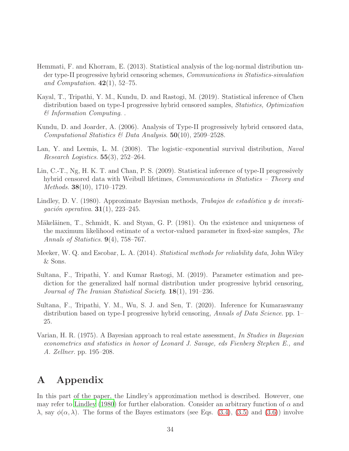- <span id="page-33-2"></span>Hemmati, F. and Khorram, E. (2013). Statistical analysis of the log-normal distribution under type-II progressive hybrid censoring schemes, Communications in Statistics-simulation and Computation.  $42(1)$ , 52–75.
- <span id="page-33-4"></span>Kayal, T., Tripathi, Y. M., Kundu, D. and Rastogi, M. (2019). Statistical inference of Chen distribution based on type-I progressive hybrid censored samples, Statistics, Optimization & Information Computing. .
- <span id="page-33-0"></span>Kundu, D. and Joarder, A. (2006). Analysis of Type-II progressively hybrid censored data, Computational Statistics  $\mathcal B$  Data Analysis. **50**(10), 2509–2528.
- <span id="page-33-6"></span>Lan, Y. and Leemis, L. M. (2008). The logistic–exponential survival distribution, Naval Research Logistics.  $55(3)$ ,  $252-264$ .
- <span id="page-33-1"></span>Lin, C.-T., Ng, H. K. T. and Chan, P. S. (2009). Statistical inference of type-II progressively hybrid censored data with Weibull lifetimes, *Communications in Statistics – Theory and* Methods. 38(10), 1710–1729.
- <span id="page-33-9"></span>Lindley, D. V. (1980). Approximate Bayesian methods, Trabajos de estadística y de investigación operativa. **31**(1), 223-245.
- <span id="page-33-7"></span>Mäkeläinen, T., Schmidt, K. and Styan, G. P. (1981). On the existence and uniqueness of the maximum likelihood estimate of a vector-valued parameter in fixed-size samples, The Annals of Statistics.  $9(4)$ , 758–767.
- <span id="page-33-10"></span>Meeker, W. Q. and Escobar, L. A. (2014). Statistical methods for reliability data, John Wiley & Sons.
- <span id="page-33-3"></span>Sultana, F., Tripathi, Y. and Kumar Rastogi, M. (2019). Parameter estimation and prediction for the generalized half normal distribution under progressive hybrid censoring, Journal of The Iranian Statistical Society. 18(1), 191–236.
- <span id="page-33-5"></span>Sultana, F., Tripathi, Y. M., Wu, S. J. and Sen, T. (2020). Inference for Kumaraswamy distribution based on type-I progressive hybrid censoring, Annals of Data Science. pp. 1– 25.
- <span id="page-33-8"></span>Varian, H. R. (1975). A Bayesian approach to real estate assessment, In Studies in Bayesian econometrics and statistics in honor of Leonard J. Savage, eds Fienberg Stephen E., and A. Zellner. pp. 195–208.

# A Appendix

In this part of the paper, the Lindley's approximation method is described. However, one may refer to [Lindley \(1980](#page-33-9)) for further elaboration. Consider an arbitrary function of  $\alpha$  and  $\lambda$ , say  $\phi(\alpha, \lambda)$ . The forms of the Bayes estimators (see Eqs. [\(3.4\)](#page-5-3), [\(3.5\)](#page-5-3) and [\(3.6\)](#page-5-3)) involve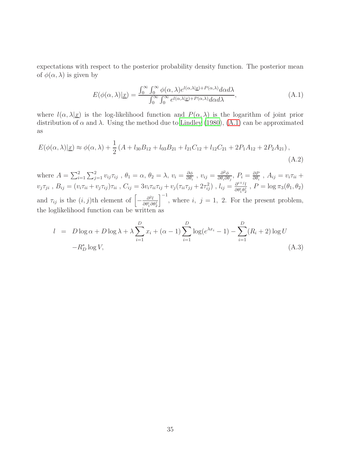expectations with respect to the posterior probability density function. The posterior mean of  $\phi(\alpha, \lambda)$  is given by

<span id="page-34-0"></span>
$$
E(\phi(\alpha,\lambda)|\underline{x}) = \frac{\int_0^\infty \int_0^\infty \phi(\alpha,\lambda)e^{l(\alpha,\lambda|\underline{x}) + P(\alpha,\lambda)}d\alpha d\lambda}{\int_0^\infty \int_0^\infty e^{l(\alpha,\lambda|\underline{x}) + P(\alpha,\lambda)}d\alpha d\lambda},\tag{A.1}
$$

where  $l(\alpha, \lambda | \underline{x})$  is the log-likelihood function and  $P(\alpha, \lambda)$  is the logarithm of joint prior distribution of  $\alpha$  and  $\lambda$ . Using the method due to [Lindley \(1980\)](#page-33-9), [\(A.1\)](#page-34-0) can be approximated as

$$
E(\phi(\alpha,\lambda)|\underline{x}) \approx \phi(\alpha,\lambda) + \frac{1}{2} \left( A + l_{30}B_{12} + l_{03}B_{21} + l_{21}C_{12} + l_{12}C_{21} + 2P_1A_{12} + 2P_2A_{21} \right),\tag{A.2}
$$

where  $A = \sum_{i=1}^{2} \sum_{j=1}^{2} v_{ij} \tau_{ij}$ ,  $\theta_1 = \alpha$ ,  $\theta_2 = \lambda$ ,  $v_i = \frac{\partial \phi}{\partial \theta_i}$  $\frac{\partial \phi}{\partial \theta_i}$ ,  $v_{ij} = \frac{\partial^2 \phi}{\partial \theta_i \partial \theta_i}$  $\frac{\partial^2 \phi}{\partial \theta_i \partial \theta_j}$ ,  $P_i = \frac{\partial P}{\partial \theta_i}$  $\frac{\partial P}{\partial \theta_i}$ ,  $A_{ij} = v_i \tau_{ii} +$  $v_j \tau_{ji}$ ,  $B_{ij} = (v_i \tau_{ii} + v_j \tau_{ij}) \tau_{ii}$ ,  $C_{ij} = 3v_i \tau_{ii} \tau_{ij} + v_j (\tau_{ii} \tau_{jj} + 2\tau_{ij}^2)$ ,  $l_{ij} = \frac{\partial^{i+j} l}{\partial \theta^i \theta^j}$  $\frac{\partial^{i+j} l}{\partial \theta_1^i \theta_2^j}$ ,  $P = \log \pi_3(\theta_1, \theta_2)$ and  $\tau_{ij}$  is the  $(i, j)$ th element of  $\left[-\frac{\partial^2 l}{\partial \theta_i^i \partial j}\right]$  $\overline{\partial \theta_1^i \partial \theta_2^j}$  $\big]^{-1}$ , where i, j = 1, 2. For the present problem, the loglikelihood function can be written as

$$
l = D \log \alpha + D \log \lambda + \lambda \sum_{i=1}^{D} x_i + (\alpha - 1) \sum_{i=1}^{D} \log(e^{\lambda x_i} - 1) - \sum_{i=1}^{D} (R_i + 2) \log U
$$
  
- $R_D^* \log V,$  (A.3)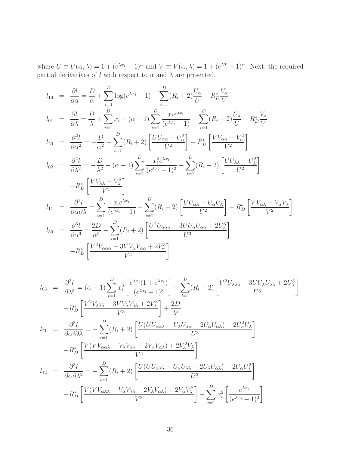where  $U \equiv U(\alpha, \lambda) = 1 + (e^{\lambda x_i} - 1)^{\alpha}$  and  $V \equiv V(\alpha, \lambda) = 1 + (e^{\lambda T} - 1)^{\alpha}$ . Next, the required partial derivatives of l with respect to  $\alpha$  and  $\lambda$  are presented.

$$
l_{10} = \frac{\partial l}{\partial \alpha} = \frac{D}{\alpha} + \sum_{i=1}^{D} \log(e^{\lambda x_i} - 1) - \sum_{i=1}^{D} (R_i + 2) \frac{U_{\alpha}}{U} - R_D^* \frac{V_{\alpha}}{V}
$$
  
\n
$$
l_{01} = \frac{\partial l}{\partial \lambda} = \frac{D}{\lambda} + \sum_{i=1}^{D} x_i + (\alpha - 1) \sum_{i=1}^{D} \frac{x_i e^{\lambda x_i}}{(e^{\lambda x_i} - 1)} - \sum_{i=1}^{D} (R_i + 2) \frac{U_{\lambda}}{U} - R_D^* \frac{V_{\lambda}}{V}
$$
  
\n
$$
l_{20} = \frac{\partial^2 l}{\partial \alpha^2} = -\frac{D}{\alpha^2} - \sum_{i=1}^{D} (R_i + 2) \left[ \frac{U U_{\alpha \alpha} - U_{\alpha}^2}{U^2} \right] - R_D^* \left[ \frac{V V_{\alpha \alpha} - V_{\alpha}^2}{V^2} \right]
$$
  
\n
$$
l_{02} = \frac{\partial^2 l}{\partial \lambda^2} = -\frac{D}{\lambda^2} - (\alpha - 1) \sum_{i=1}^{D} \frac{x_i^2 e^{\lambda x_i}}{(e^{\lambda x_i} - 1)^2} - \sum_{i=1}^{D} (R_i + 2) \left[ \frac{U U_{\lambda \lambda} - U_{\lambda}^2}{U^2} \right]
$$
  
\n
$$
l_{11} = \frac{\partial^2 l}{\partial \alpha \partial \lambda} = \sum_{i=1}^{D} \frac{x_i e^{\lambda x_i}}{(e^{\lambda x_i} - 1)} - \sum_{i=1}^{D} (R_i + 2) \left[ \frac{U U_{\alpha \lambda} - U_{\alpha} U_{\lambda}}{U^2} \right] - R_D^* \left[ \frac{V V_{\alpha \lambda} - V_{\alpha} V_{\lambda}}{V^2} \right]
$$
  
\n
$$
l_{30} = \frac{\partial^3 l}{\partial \alpha^3} = \frac{2D}{\alpha^3} - \sum_{i=1}^{D} (R_i + 2) \left[ \frac{U^2 U_{\alpha \alpha \alpha} - 3U U_{\alpha} U_{\alpha \alpha} + 2U_{\alpha}^3}{U^
$$

$$
l_{03} = \frac{\partial^3 l}{\partial \lambda^3} = (\alpha - 1) \sum_{i=1}^D x_i^3 \left[ \frac{e^{\lambda x_i} (1 + e^{\lambda x_i})}{(e^{\lambda x_i} - 1)^3} \right] - \sum_{i=1}^D (R_i + 2) \left[ \frac{U^2 U_{\lambda \lambda \lambda} - 3U U_{\lambda} U_{\lambda \lambda} + 2U_{\lambda}^3}{U^3} \right]
$$
  
\n
$$
-R_D^* \left[ \frac{V^2 V_{\lambda \lambda \lambda} - 3V V_{\lambda} V_{\lambda \lambda} + 2V_{\lambda}^3}{V^3} \right] + \frac{2D}{\lambda^3}
$$
  
\n
$$
l_{21} = \frac{\partial^3 l}{\partial \alpha^2 \partial \lambda} = -\sum_{i=1}^D (R_i + 2) \left[ \frac{U(U U_{\alpha \alpha \lambda} - U_{\lambda} U_{\alpha \alpha} - 2U_{\alpha} U_{\alpha \lambda}) + 2U_{\alpha}^2 U_{\lambda}}{U^3} \right]
$$
  
\n
$$
-R_D^* \left[ \frac{V(V V_{\alpha \alpha \lambda} - V_{\lambda} V_{\alpha \alpha} - 2V_{\alpha} V_{\alpha \lambda}) + 2V_{\alpha}^2 V_{\lambda}}{V^3} \right]
$$
  
\n
$$
l_{12} = \frac{\partial^3 l}{\partial \alpha \partial \lambda^2} = -\sum_{i=1}^D (R_i + 2) \left[ \frac{U(U U_{\alpha \lambda \lambda} - U_{\alpha} U_{\lambda \lambda} - 2U_{\lambda} U_{\alpha \lambda}) + 2U_{\alpha} U_{\lambda}^2}{U^3} \right]
$$
  
\n
$$
-R_D^* \left[ \frac{V(V V_{\alpha \lambda \lambda} - V_{\alpha} V_{\lambda \lambda} - 2V_{\lambda} V_{\alpha \lambda}) + 2V_{\alpha} V_{\lambda}^2}{V^3} \right] - \sum_{i=1}^D x_i^2 \left[ \frac{e^{\lambda x_i}}{(e^{\lambda x_i} - 1)^2} \right]
$$